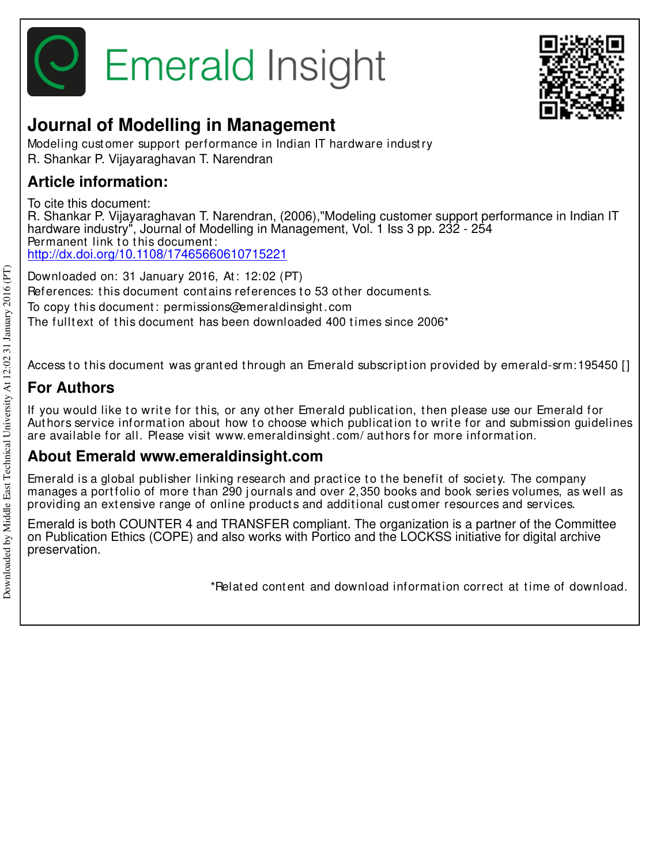



# **Journal of Modelling in Management**

Modeling cust omer support performance in Indian IT hardware indust ry R. Shankar P. Vijayaraghavan T. Narendran

# **Article information:**

To cite this document: R. Shankar P. Vijayaraghavan T. Narendran, (2006),"Modeling customer support performance in Indian IT hardware industry", Journal of Modelling in Management, Vol. 1 Iss 3 pp. 232 - 254 Permanent link to this document: http://dx.doi.org/10.1108/17465660610715221

Downloaded on: 31 January 2016, At : 12:02 (PT) References: this document contains references to 53 other documents. To copy t his document : permissions@emeraldinsight .com The fulltext of this document has been downloaded 400 times since  $2006<sup>*</sup>$ 

Access to this document was granted through an Emerald subscription provided by emerald-srm:195450 []

# **For Authors**

If you would like to write for this, or any other Emerald publication, then please use our Emerald for Authors service information about how to choose which publication to write for and submission quidelines are available for all. Please visit www.emeraldinsight .com/ aut hors for more informat ion.

## **About Emerald www.emeraldinsight.com**

Emerald is a global publisher linking research and practice to the benefit of society. The company manages a portfolio of more than 290 journals and over 2,350 books and book series volumes, as well as providing an extensive range of online products and additional customer resources and services.

Emerald is both COUNTER 4 and TRANSFER compliant. The organization is a partner of the Committee on Publication Ethics (COPE) and also works with Portico and the LOCKSS initiative for digital archive preservation.

\*Relat ed cont ent and download informat ion correct at t ime of download.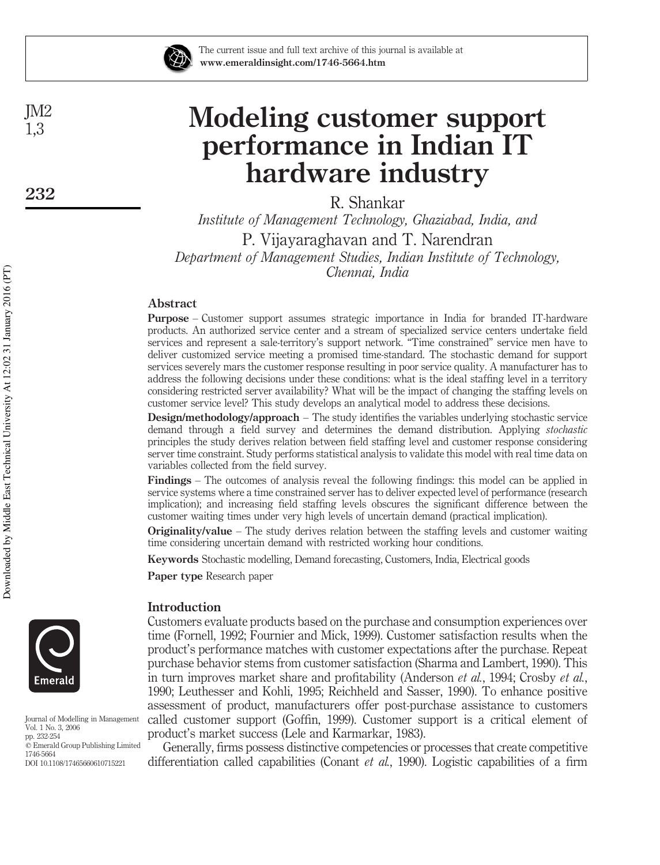

The current issue and full text archive of this journal is available at www.emeraldinsight.com/1746-5664.htm

# Modeling customer support performance in Indian IT hardware industry

R. Shankar

*Institute of Management Technology, Ghaziabad, India, and* P. Vijayaraghavan and T. Narendran *Department of Management Studies, Indian Institute of Technology, Chennai, India*

## Abstract

Purpose – Customer support assumes strategic importance in India for branded IT-hardware products. An authorized service center and a stream of specialized service centers undertake field services and represent a sale-territory's support network. "Time constrained" service men have to deliver customized service meeting a promised time-standard. The stochastic demand for support services severely mars the customer response resulting in poor service quality. A manufacturer has to address the following decisions under these conditions: what is the ideal staffing level in a territory considering restricted server availability? What will be the impact of changing the staffing levels on customer service level? This study develops an analytical model to address these decisions.

Design/methodology/approach – The study identifies the variables underlying stochastic service demand through a field survey and determines the demand distribution. Applying *stochastic* principles the study derives relation between field staffing level and customer response considering server time constraint. Study performs statistical analysis to validate this model with real time data on variables collected from the field survey.

Findings – The outcomes of analysis reveal the following findings: this model can be applied in service systems where a time constrained server has to deliver expected level of performance (research implication); and increasing field staffing levels obscures the significant difference between the customer waiting times under very high levels of uncertain demand (practical implication).

Originality/value – The study derives relation between the staffing levels and customer waiting time considering uncertain demand with restricted working hour conditions.

Keywords Stochastic modelling, Demand forecasting, Customers, India, Electrical goods

Paper type Research paper

## Introduction

Customers evaluate products based on the purchase and consumption experiences over time (Fornell, 1992; Fournier and Mick, 1999). Customer satisfaction results when the product's performance matches with customer expectations after the purchase. Repeat purchase behavior stems from customer satisfaction (Sharma and Lambert, 1990). This in turn improves market share and profitability (Anderson *et al.*, 1994; Crosby *et al.*, 1990; Leuthesser and Kohli, 1995; Reichheld and Sasser, 1990). To enhance positive assessment of product, manufacturers offer post-purchase assistance to customers called customer support (Goffin, 1999). Customer support is a critical element of product's market success (Lele and Karmarkar, 1983).

Generally, firms possess distinctive competencies or processes that create competitive differentiation called capabilities (Conant *et al.*, 1990). Logistic capabilities of a firm



Journal of Modelling in Management Vol. 1 No. 3, 2006 pp. 232-254  $©$  Emerald Group Publishing Limited 1746-5664 DOI 10.1108/17465660610715221

JM2 1,3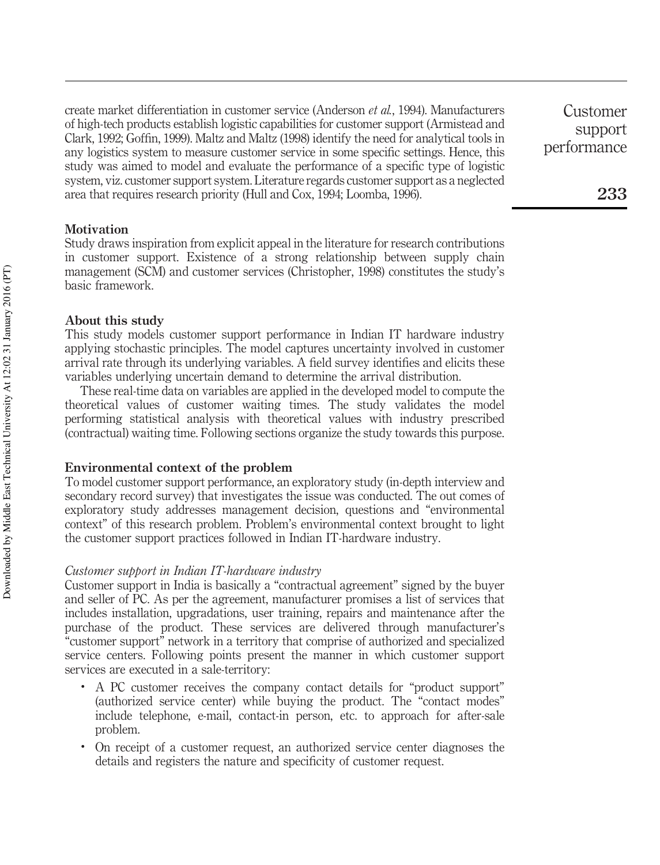create market differentiation in customer service (Anderson *et al.*, 1994). Manufacturers of high-tech products establish logistic capabilities for customer support (Armistead and Clark, 1992; Goffin, 1999). Maltz and Maltz (1998) identify the need for analytical tools in any logistics system to measure customer service in some specific settings. Hence, this study was aimed to model and evaluate the performance of a specific type of logistic system, viz. customer support system. Literature regards customer support as a neglected area that requires research priority (Hull and Cox, 1994; Loomba, 1996).

Customer support performance

233

Study draws inspiration from explicit appeal in the literature for research contributions in customer support. Existence of a strong relationship between supply chain management (SCM) and customer services (Christopher, 1998) constitutes the study's basic framework.

#### About this study

This study models customer support performance in Indian IT hardware industry applying stochastic principles. The model captures uncertainty involved in customer arrival rate through its underlying variables. A field survey identifies and elicits these variables underlying uncertain demand to determine the arrival distribution.

These real-time data on variables are applied in the developed model to compute the theoretical values of customer waiting times. The study validates the model performing statistical analysis with theoretical values with industry prescribed (contractual) waiting time. Following sections organize the study towards this purpose.

## Environmental context of the problem

To model customer support performance, an exploratory study (in-depth interview and secondary record survey) that investigates the issue was conducted. The out comes of exploratory study addresses management decision, questions and "environmental context" of this research problem. Problem's environmental context brought to light the customer support practices followed in Indian IT-hardware industry.

## *Customer support in Indian IT-hardware industry*

Customer support in India is basically a "contractual agreement" signed by the buyer and seller of PC. As per the agreement, manufacturer promises a list of services that includes installation, upgradations, user training, repairs and maintenance after the purchase of the product. These services are delivered through manufacturer's "customer support" network in a territory that comprise of authorized and specialized service centers. Following points present the manner in which customer support services are executed in a sale-territory:

- . A PC customer receives the company contact details for "product support" (authorized service center) while buying the product. The "contact modes" include telephone, e-mail, contact-in person, etc. to approach for after-sale problem.
- . On receipt of a customer request, an authorized service center diagnoses the details and registers the nature and specificity of customer request.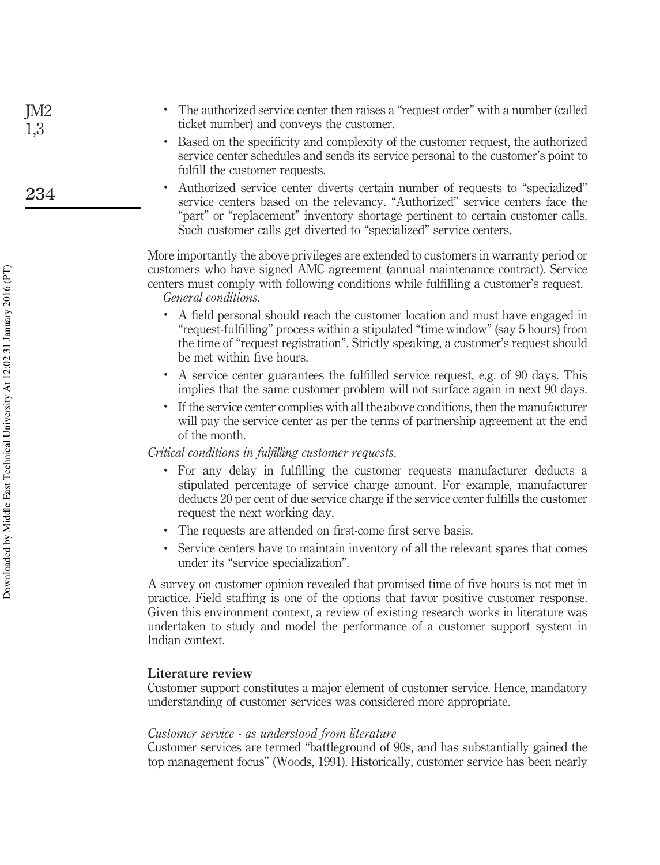| • The authorized service center then raises a "request order" with a number (called |  |  |
|-------------------------------------------------------------------------------------|--|--|
| ticket number) and conveys the customer.                                            |  |  |

- . Based on the specificity and complexity of the customer request, the authorized service center schedules and sends its service personal to the customer's point to fulfill the customer requests.
- . Authorized service center diverts certain number of requests to "specialized" service centers based on the relevancy. "Authorized" service centers face the "part" or "replacement" inventory shortage pertinent to certain customer calls. Such customer calls get diverted to "specialized" service centers.

More importantly the above privileges are extended to customers in warranty period or customers who have signed AMC agreement (annual maintenance contract). Service centers must comply with following conditions while fulfilling a customer's request. *General conditions*.

- . A field personal should reach the customer location and must have engaged in "request-fulfilling" process within a stipulated "time window" (say 5 hours) from the time of "request registration". Strictly speaking, a customer's request should be met within five hours.
- . A service center guarantees the fulfilled service request, e.g. of 90 days. This implies that the same customer problem will not surface again in next 90 days.
- . If the service center complies with all the above conditions, then the manufacturer will pay the service center as per the terms of partnership agreement at the end of the month.

*Critical conditions in fulfilling customer requests*.

- . For any delay in fulfilling the customer requests manufacturer deducts a stipulated percentage of service charge amount. For example, manufacturer deducts 20 per cent of due service charge if the service center fulfills the customer request the next working day.
- . The requests are attended on first-come first serve basis.
- . Service centers have to maintain inventory of all the relevant spares that comes under its "service specialization".

A survey on customer opinion revealed that promised time of five hours is not met in practice. Field staffing is one of the options that favor positive customer response. Given this environment context, a review of existing research works in literature was undertaken to study and model the performance of a customer support system in Indian context.

## Literature review

Customer support constitutes a major element of customer service. Hence, mandatory understanding of customer services was considered more appropriate.

## *Customer service - as understood from literature*

Customer services are termed "battleground of 90s, and has substantially gained the top management focus" (Woods, 1991). Historically, customer service has been nearly

JM2 1,3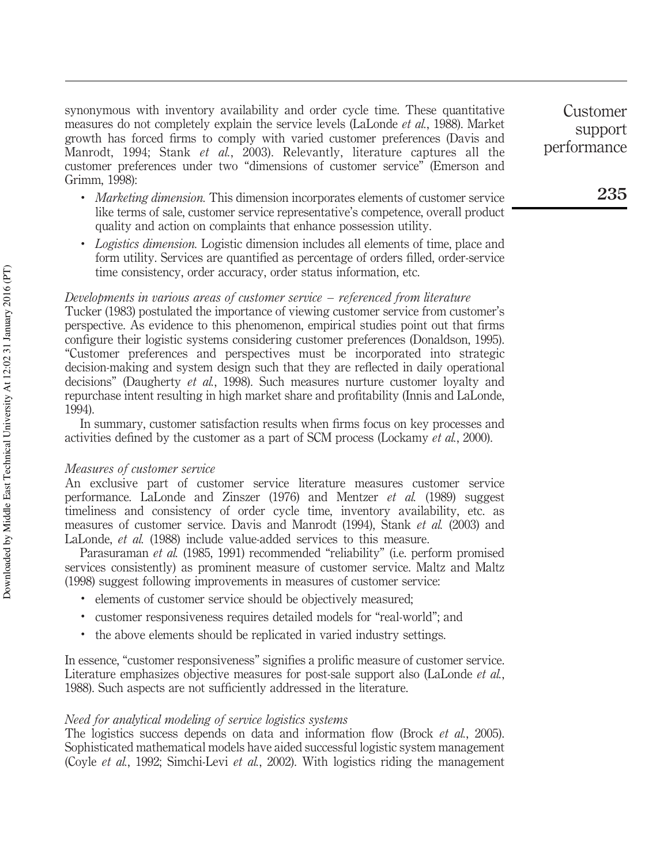synonymous with inventory availability and order cycle time. These quantitative measures do not completely explain the service levels (LaLonde *et al.*, 1988). Market growth has forced firms to comply with varied customer preferences (Davis and Manrodt, 1994; Stank *et al.*, 2003). Relevantly, literature captures all the customer preferences under two "dimensions of customer service" (Emerson and Grimm, 1998):

- . *Marketing dimension.* This dimension incorporates elements of customer service like terms of sale, customer service representative's competence, overall product quality and action on complaints that enhance possession utility.
- . *Logistics dimension.* Logistic dimension includes all elements of time, place and form utility. Services are quantified as percentage of orders filled, order-service time consistency, order accuracy, order status information, etc.

## *Developments in various areas of customer service – referenced from literature*

Tucker (1983) postulated the importance of viewing customer service from customer's perspective. As evidence to this phenomenon, empirical studies point out that firms configure their logistic systems considering customer preferences (Donaldson, 1995). "Customer preferences and perspectives must be incorporated into strategic decision-making and system design such that they are reflected in daily operational decisions" (Daugherty *et al.*, 1998). Such measures nurture customer loyalty and repurchase intent resulting in high market share and profitability (Innis and LaLonde, 1994).

In summary, customer satisfaction results when firms focus on key processes and activities defined by the customer as a part of SCM process (Lockamy *et al.*, 2000).

## *Measures of customer service*

An exclusive part of customer service literature measures customer service performance. LaLonde and Zinszer (1976) and Mentzer *et al.* (1989) suggest timeliness and consistency of order cycle time, inventory availability, etc. as measures of customer service. Davis and Manrodt (1994), Stank *et al.* (2003) and LaLonde, *et al.* (1988) include value-added services to this measure.

Parasuraman *et al.* (1985, 1991) recommended "reliability" (i.e. perform promised services consistently) as prominent measure of customer service. Maltz and Maltz (1998) suggest following improvements in measures of customer service:

- . elements of customer service should be objectively measured;
- . customer responsiveness requires detailed models for "real-world"; and
- . the above elements should be replicated in varied industry settings.

In essence, "customer responsiveness" signifies a prolific measure of customer service. Literature emphasizes objective measures for post-sale support also (LaLonde *et al.*, 1988). Such aspects are not sufficiently addressed in the literature.

## *Need for analytical modeling of service logistics systems*

The logistics success depends on data and information flow (Brock *et al.*, 2005). Sophisticated mathematical models have aided successful logistic system management (Coyle *et al.*, 1992; Simchi-Levi *et al.*, 2002). With logistics riding the management

Customer support performance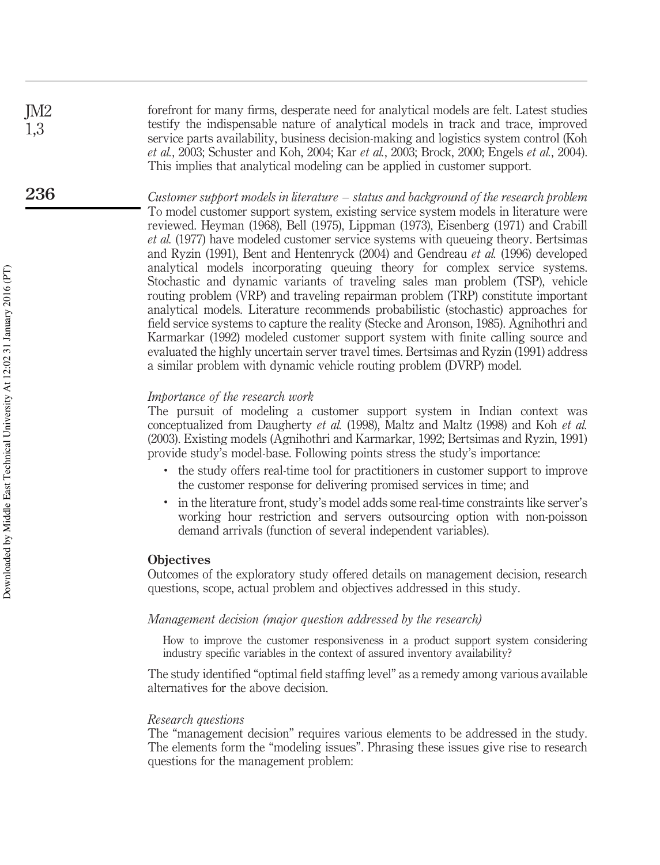forefront for many firms, desperate need for analytical models are felt. Latest studies testify the indispensable nature of analytical models in track and trace, improved service parts availability, business decision-making and logistics system control (Koh *et al.*, 2003; Schuster and Koh, 2004; Kar *et al.*, 2003; Brock, 2000; Engels *et al.*, 2004). This implies that analytical modeling can be applied in customer support.

*Customer support models in literature – status and background of the research problem* To model customer support system, existing service system models in literature were reviewed. Heyman (1968), Bell (1975), Lippman (1973), Eisenberg (1971) and Crabill *et al.* (1977) have modeled customer service systems with queueing theory. Bertsimas and Ryzin (1991), Bent and Hentenryck (2004) and Gendreau *et al.* (1996) developed analytical models incorporating queuing theory for complex service systems. Stochastic and dynamic variants of traveling sales man problem (TSP), vehicle routing problem (VRP) and traveling repairman problem (TRP) constitute important analytical models. Literature recommends probabilistic (stochastic) approaches for field service systems to capture the reality (Stecke and Aronson, 1985). Agnihothri and Karmarkar (1992) modeled customer support system with finite calling source and evaluated the highly uncertain server travel times. Bertsimas and Ryzin (1991) address a similar problem with dynamic vehicle routing problem (DVRP) model.

## *Importance of the research work*

The pursuit of modeling a customer support system in Indian context was conceptualized from Daugherty *et al.* (1998), Maltz and Maltz (1998) and Koh *et al.* (2003). Existing models (Agnihothri and Karmarkar, 1992; Bertsimas and Ryzin, 1991) provide study's model-base. Following points stress the study's importance:

- . the study offers real-time tool for practitioners in customer support to improve the customer response for delivering promised services in time; and
- . in the literature front, study's model adds some real-time constraints like server's working hour restriction and servers outsourcing option with non-poisson demand arrivals (function of several independent variables).

## **Objectives**

Outcomes of the exploratory study offered details on management decision, research questions, scope, actual problem and objectives addressed in this study.

## *Management decision (major question addressed by the research)*

How to improve the customer responsiveness in a product support system considering industry specific variables in the context of assured inventory availability?

The study identified "optimal field staffing level" as a remedy among various available alternatives for the above decision.

#### *Research questions*

The "management decision" requires various elements to be addressed in the study. The elements form the "modeling issues". Phrasing these issues give rise to research questions for the management problem:

JM2 1,3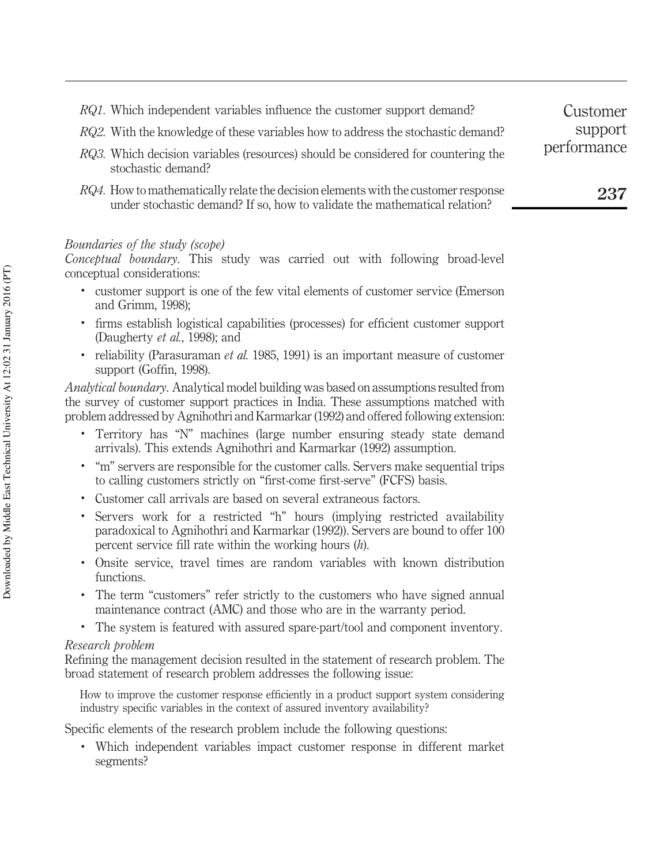- *RQ1.* Which independent variables influence the customer support demand?
- *RQ2.* With the knowledge of these variables how to address the stochastic demand?
- *RQ3.* Which decision variables (resources) should be considered for countering the stochastic demand?
- *RQ4.* How to mathematically relate the decision elements with the customer response under stochastic demand? If so, how to validate the mathematical relation?

## *Boundaries of the study (scope)*

*Conceptual boundary*. This study was carried out with following broad-level conceptual considerations:

- . customer support is one of the few vital elements of customer service (Emerson and Grimm, 1998);
- . firms establish logistical capabilities (processes) for efficient customer support (Daugherty *et al.*, 1998); and
- . reliability (Parasuraman *et al.* 1985, 1991) is an important measure of customer support (Goffin, 1998).

*Analytical boundary*. Analytical model building was based on assumptions resulted from the survey of customer support practices in India. These assumptions matched with problem addressed by Agnihothri and Karmarkar (1992) and offered following extension:

- . Territory has "N" machines (large number ensuring steady state demand arrivals). This extends Agnihothri and Karmarkar (1992) assumption.
- . "m" servers are responsible for the customer calls. Servers make sequential trips to calling customers strictly on "first-come first-serve" (FCFS) basis.
- . Customer call arrivals are based on several extraneous factors.
- . Servers work for a restricted "h" hours (implying restricted availability paradoxical to Agnihothri and Karmarkar (1992)). Servers are bound to offer 100 percent service fill rate within the working hours (*h*).
- . Onsite service, travel times are random variables with known distribution functions.
- . The term "customers" refer strictly to the customers who have signed annual maintenance contract (AMC) and those who are in the warranty period.
- . The system is featured with assured spare-part/tool and component inventory.

## *Research problem*

Refining the management decision resulted in the statement of research problem. The broad statement of research problem addresses the following issue:

How to improve the customer response efficiently in a product support system considering industry specific variables in the context of assured inventory availability?

Specific elements of the research problem include the following questions:

. Which independent variables impact customer response in different market segments?

Customer support performance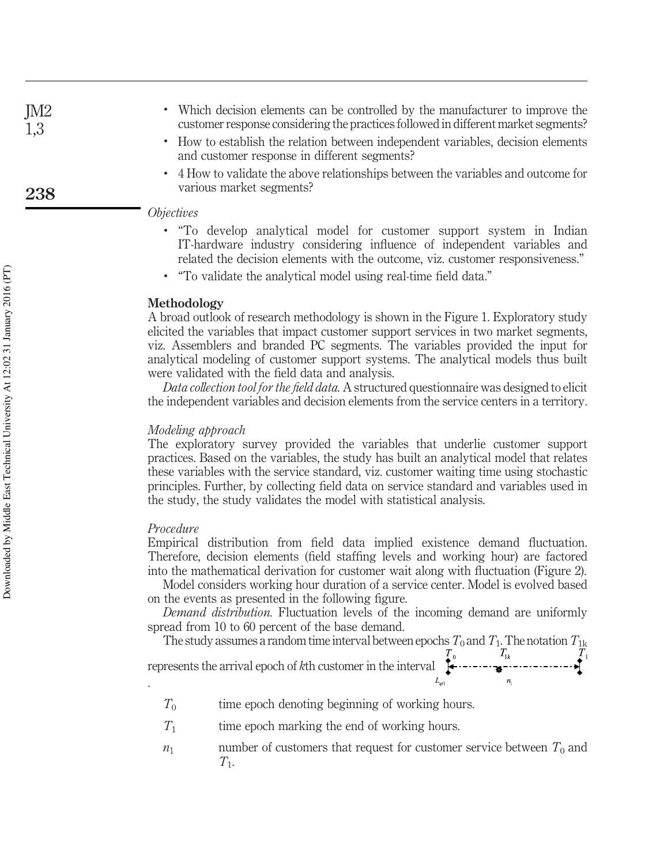- . Which decision elements can be controlled by the manufacturer to improve the customer response considering the practices followed in different market segments?
- . How to establish the relation between independent variables, decision elements and customer response in different segments?
- . 4 How to validate the above relationships between the variables and outcome for various market segments?

## *Objectives*

- . "To develop analytical model for customer support system in Indian IT-hardware industry considering influence of independent variables and related the decision elements with the outcome, viz. customer responsiveness."
- . "To validate the analytical model using real-time field data."

## Methodology

A broad outlook of research methodology is shown in the Figure 1. Exploratory study elicited the variables that impact customer support services in two market segments, viz. Assemblers and branded PC segments. The variables provided the input for analytical modeling of customer support systems. The analytical models thus built were validated with the field data and analysis.

*Data collection tool for the field data.* A structured questionnaire was designed to elicit the independent variables and decision elements from the service centers in a territory.

## *Modeling approach*

The exploratory survey provided the variables that underlie customer support practices. Based on the variables, the study has built an analytical model that relates these variables with the service standard, viz. customer waiting time using stochastic principles. Further, by collecting field data on service standard and variables used in the study, the study validates the model with statistical analysis.

## *Procedure*

Empirical distribution from field data implied existence demand fluctuation. Therefore, decision elements (field staffing levels and working hour) are factored into the mathematical derivation for customer wait along with fluctuation (Figure 2).

Model considers working hour duration of a service center. Model is evolved based on the events as presented in the following figure.

*Demand distribution.* Fluctuation levels of the incoming demand are uniformly spread from 10 to 60 percent of the base demand.

The study assumes a random time interval between epochs  $T_0$  and  $T_1$ . The notation  $T_{1\mathrm{k}}$ 

represents the arrival epoch of *k*th customer in the interval .

- $T_0$ time epoch denoting beginning of working hours.
- *T*1 time epoch marking the end of working hours.
- *n*<sub>1</sub> number of customers that request for customer service between  $T_0$  and *T*1 .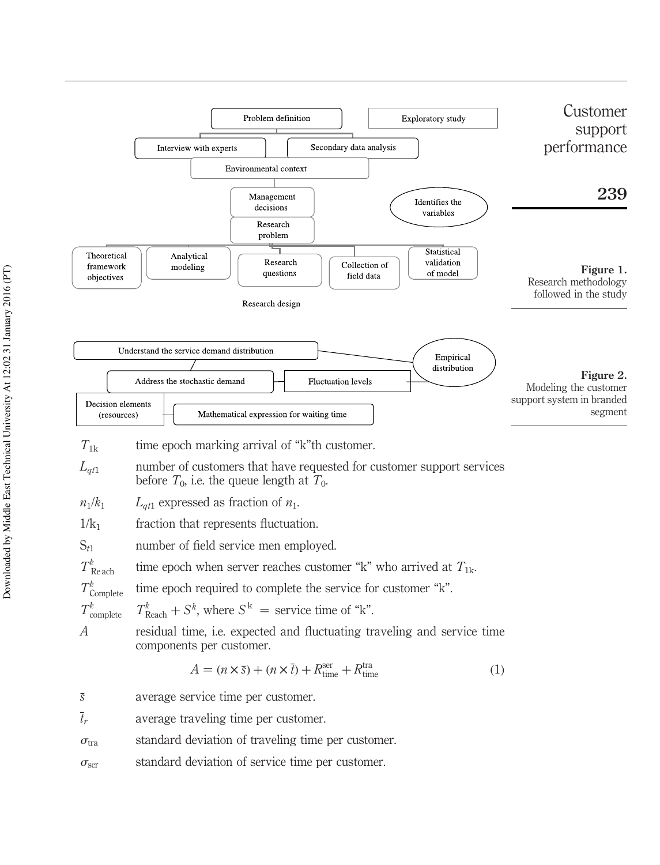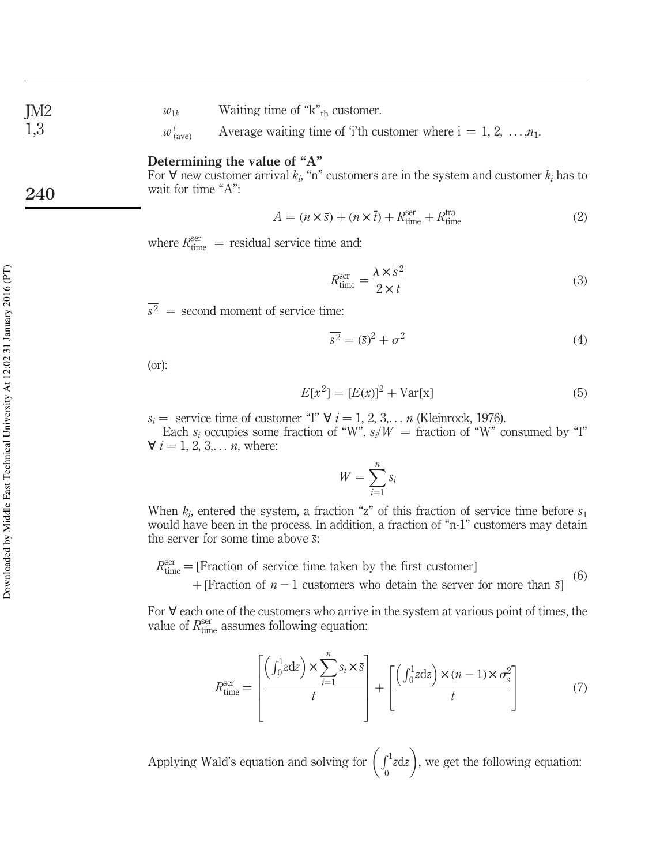$w_{1k}$  Waiting time of "k"<sub>th</sub> customer.

*w i*  $\phi_{\text{(ave)}}^i$  Average waiting time of 'i'th customer where  $i = 1, 2, ..., n_1$ .

## Determining the value of "A"

For  $\forall$  new customer arrival  $k_i$ , "n" customers are in the system and customer  $k_i$  has to wait for time "A":

$$
A = (n \times \bar{s}) + (n \times \bar{t}) + R_{\text{time}}^{\text{ser}} + R_{\text{time}}^{\text{tra}} \tag{2}
$$

where  $R_{\text{time}}^{\text{ser}} =$  residual service time and:

$$
R_{\text{time}}^{\text{ser}} = \frac{\lambda \times \overline{s^2}}{2 \times t} \tag{3}
$$

 $s^2$  = second moment of service time:

$$
\overline{s^2} = (\overline{s})^2 + \sigma^2 \tag{4}
$$

(or):

$$
E[x^2] = [E(x)]^2 + \text{Var}[x] \tag{5}
$$

 $s_i =$  service time of customer "I"  $\forall i = 1, 2, 3, \ldots n$  (Kleinrock, 1976).

Each  $s_i$  occupies some fraction of "W".  $s_i/W =$  fraction of "W" consumed by "I"  $\forall i = 1, 2, 3, \dots n$ , where:

$$
W = \sum_{i=1}^{n} s_i
$$

When  $k_i$ , entered the system, a fraction "z" of this fraction of service time before  $s_1$ would have been in the process. In addition, a fraction of "n-1" customers may detain the server for some time above *s*:

 $R_{time}^{ser} =$  [Fraction of service time taken by the first customer]  $(6)$ 

 $+$ [Fraction of  $n-1$  customers who detain the server for more than  $\overline{s}$ ]

For  $\forall$  each one of the customers who arrive in the system at various point of times, the value of  $R_{\text{time}}^{\text{ser}}$  assumes following equation:

$$
R_{\text{time}}^{\text{ser}} = \left[ \frac{\left( \int_0^1 z \, dz \right) \times \sum_{i=1}^n s_i \times \bar{s}}{t} \right] + \left[ \frac{\left( \int_0^1 z \, dz \right) \times (n-1) \times \sigma_s^2}{t} \right] \tag{7}
$$

Applying Wald's equation and solving for  $\left(\int_0^1 z dz\right)$ , we get the following equation:

JM2 1,3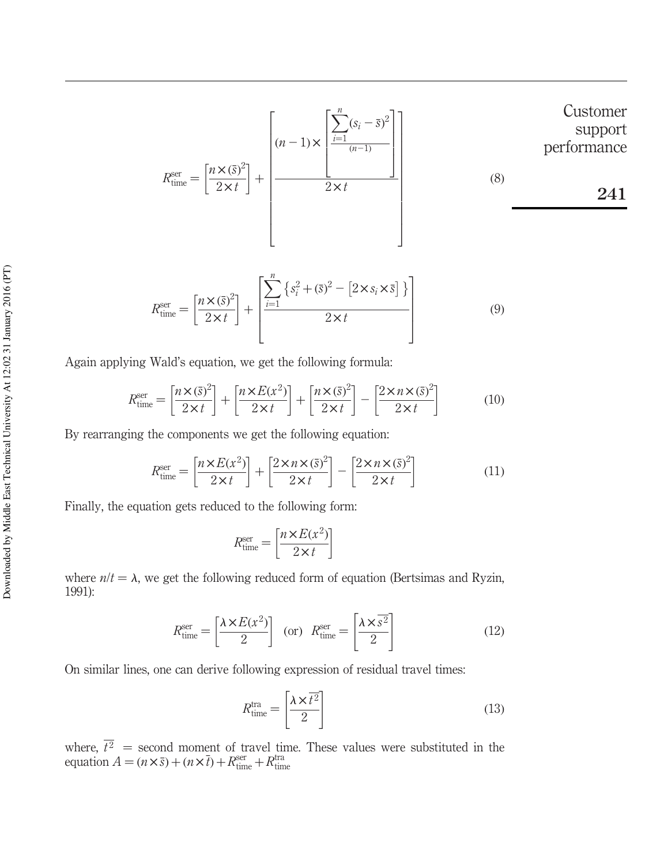$$
R_{\text{time}}^{\text{ser}} = \left[\frac{n \times (\bar{s})^2}{2 \times t}\right] + \left[\frac{n-1 \times \left[\frac{\sum_{i=1}^{n} (s_i - \bar{s})^2}{(n-1)}\right]}{2 \times t}\right]
$$
 (8)

$$
R_{\text{time}}^{\text{ser}} = \left[\frac{n \times (\bar{s})^2}{2 \times t}\right] + \left[\frac{\sum_{i=1}^{n} \left\{s_i^2 + (\bar{s})^2 - \left[2 \times s_i \times \bar{s}\right]\right\}}{2 \times t}\right]
$$
(9)

Again applying Wald's equation, we get the following formula:

$$
R_{\text{time}}^{\text{ser}} = \left[\frac{n \times (\bar{s})^2}{2 \times t}\right] + \left[\frac{n \times E(x^2)}{2 \times t}\right] + \left[\frac{n \times (\bar{s})^2}{2 \times t}\right] - \left[\frac{2 \times n \times (\bar{s})^2}{2 \times t}\right]
$$
(10)

By rearranging the components we get the following equation:

$$
R_{\text{time}}^{\text{ser}} = \left[\frac{n \times E(x^2)}{2 \times t}\right] + \left[\frac{2 \times n \times (\bar{s})^2}{2 \times t}\right] - \left[\frac{2 \times n \times (\bar{s})^2}{2 \times t}\right] \tag{11}
$$

Finally, the equation gets reduced to the following form:

$$
R_{\text{time}}^{\text{ser}} = \left[\frac{n \times E(x^2)}{2 \times t}\right]
$$

where  $n/t = \lambda$ , we get the following reduced form of equation (Bertsimas and Ryzin, 1991):

$$
R_{\text{time}}^{\text{ser}} = \left[\frac{\lambda \times E(x^2)}{2}\right] \quad \text{(or)} \quad R_{\text{time}}^{\text{ser}} = \left[\frac{\lambda \times \overline{s^2}}{2}\right] \tag{12}
$$

On similar lines, one can derive following expression of residual travel times:

$$
R_{\text{time}}^{\text{tra}} = \left[\frac{\lambda \times \overline{t^2}}{2}\right] \tag{13}
$$

where,  $t^2$  = second moment of travel time. These values were substituted in the equation  $A = (n \times \bar{s}) + (n \times \bar{t}) + R_{time}^{ser} + R_{time}^{tra}$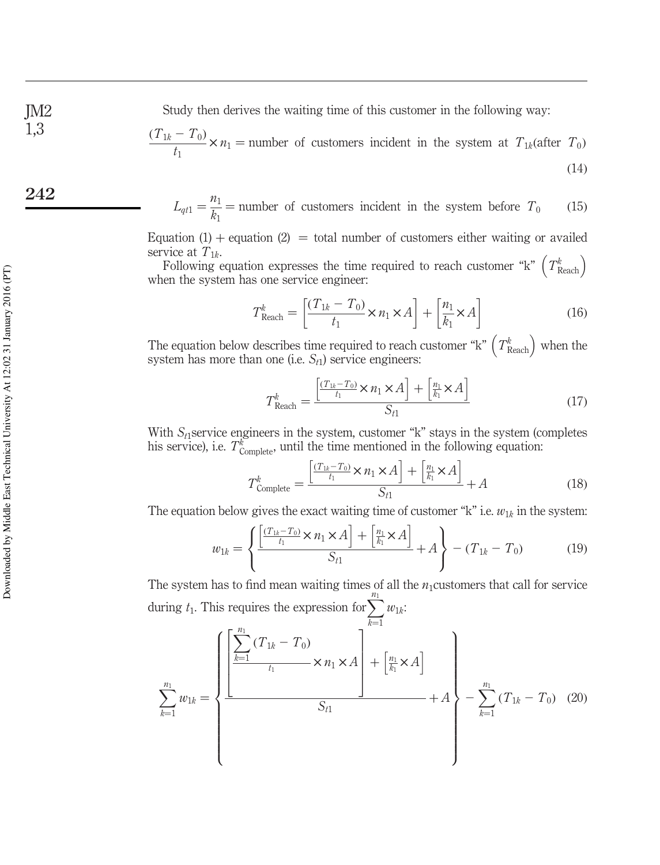Study then derives the waiting time of this customer in the following way:

$$
\frac{(T_{1k} - T_0)}{t_1} \times n_1 = \text{number of customers incident in the system at } T_{1k} \text{(after } T_0)
$$
\n(14)

$$
L_{qt1} = \frac{n_1}{k_1} =
$$
 number of customers incident in the system before  $T_0$  (15)

Equation  $(1)$  + equation  $(2)$  = total number of customers either waiting or availed service at  $T_{1k}$ .

Following equation expresses the time required to reach customer "k"  $(T_{\text{Reach}}^k)$ when the system has one service engineer:

$$
T_{\text{Reach}}^k = \left[\frac{(T_{1k} - T_0)}{t_1} \times n_1 \times A\right] + \left[\frac{n_1}{k_1} \times A\right]
$$
 (16)

The equation below describes time required to reach customer "k"  $(T_{\text{Reach}}^k)$  when the system has more than one (i.e. *St*<sup>1</sup> ) service engineers:

$$
T_{\text{Reach}}^k = \frac{\left[\frac{(T_{1k} - T_0)}{t_1} \times n_1 \times A\right] + \left[\frac{n_1}{k_1} \times A\right]}{S_{t1}}\tag{17}
$$

With *S*<sub>t</sub>1service engineers in the system, customer "k" stays in the system (completes his service), i.e.  $T_{\text{Complete}}^k$ , until the time mentioned in the following equation:

$$
T_{\text{Complete}}^k = \frac{\left[\frac{(T_{1k} - T_0)}{t_1} \times n_1 \times A\right] + \left[\frac{n_1}{k_1} \times A\right]}{S_{t1}} + A \tag{18}
$$

The equation below gives the exact waiting time of customer " $k$ " i.e.  $w_{1k}$  in the system:

$$
w_{1k} = \left\{ \frac{\left[ \frac{(T_{1k} - T_0)}{t_1} \times n_1 \times A \right] + \left[ \frac{n_1}{k_1} \times A \right]}{S_{t1}} + A \right\} - (T_{1k} - T_0) \tag{19}
$$

The system has to find mean waiting times of all the  $n_1$ customers that call for service during  $t_1$ . This requires the expression for  $\sum_{n=1}^{\frac{n_1}{2}}$  $w_{1k}$ 

$$
\sum_{k=1}^{n_1} w_{1k} = \left\{ \frac{\left[ \frac{\sum_{k=1}^{n_1} (T_{1k} - T_0)}{t_1} \times n_1 \times A \right] + \left[ \frac{n_1}{k_1} \times A \right]}{S_{t1}} + A \right\} - \sum_{k=1}^{n_1} (T_{1k} - T_0) \tag{20}
$$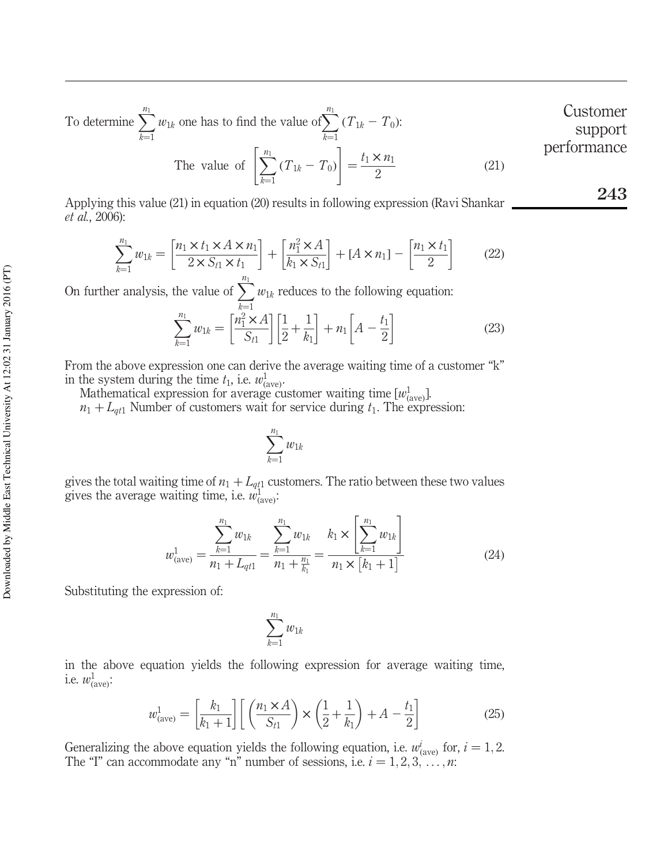To determine  $\sum_{n=1}^{n_1}$  $_{k=1}$  $w_{1k}$  one has to find the value of  $\sum_{k=1}^{n_1}$  $_{k=1}$  $(T_{1k} - T_0)$ :  $t_1 \times n_1$ Customer support performance

The value of 
$$
\left[\sum_{k=1}^{n_1} (T_{1k} - T_0)\right] = \frac{t_1 \times n_1}{2}
$$
 (21)

Applying this value (21) in equation (20) results in following expression (Ravi Shankar *et al.*, 2006):

$$
\sum_{k=1}^{n_1} w_{1k} = \left[ \frac{n_1 \times t_1 \times A \times n_1}{2 \times S_{t1} \times t_1} \right] + \left[ \frac{n_1^2 \times A}{k_1 \times S_{t1}} \right] + [A \times n_1] - \left[ \frac{n_1 \times t_1}{2} \right] \tag{22}
$$

On further analysis, the value of  $\sum_{n=1}^{\infty}$  $_{k=1}$  $w_{1k}$  reduces to the following equation:

$$
\sum_{k=1}^{n_1} w_{1k} = \left[ \frac{n_1^2 \times A}{S_{t1}} \right] \left[ \frac{1}{2} + \frac{1}{k_1} \right] + n_1 \left[ A - \frac{t_1}{2} \right]
$$
(23)

From the above expression one can derive the average waiting time of a customer "k" in the system during the time  $t_1$ , i.e.  $w_{\text{ave}}^1$ .

Mathematical expression for average customer waiting time  $[w^1_{(ave)}]$ .  $n_1 + L_{qt1}$  Number of customers wait for service during  $t_1$ . The expression:

$$
\sum_{k=1}^{n_1} w_{1k}
$$

gives the total waiting time of  $n_1 + L_{q_1}$  customers. The ratio between these two values gives the average waiting time, i.e.  $w_{\text{(ave)}}^1$ .

$$
w_{(\text{ave})}^1 = \frac{\sum_{k=1}^{n_1} w_{1k}}{n_1 + L_{qt1}} = \frac{\sum_{k=1}^{n_1} w_{1k}}{n_1 + \frac{n_1}{k_1}} = \frac{k_1 \times \left[\sum_{k=1}^{n_1} w_{1k}\right]}{n_1 \times \left[k_1 + 1\right]}
$$
(24)

Substituting the expression of:

$$
\sum_{k=1}^{n_1} w_{1k}
$$

in the above equation yields the following expression for average waiting time, i.e.  $w_{(\text{ave})}^1$ :

$$
w_{(\text{ave})}^1 = \left[\frac{k_1}{k_1 + 1}\right] \left[\left(\frac{n_1 \times A}{S_{t1}}\right) \times \left(\frac{1}{2} + \frac{1}{k_1}\right) + A - \frac{t_1}{2}\right] \tag{25}
$$

Generalizing the above equation yields the following equation, i.e.  $w^i_{(\text{ave})}$  for,  $i = 1, 2$ . The "I" can accommodate any "n" number of sessions, i.e.  $i = 1, 2, 3, \dots, n$ :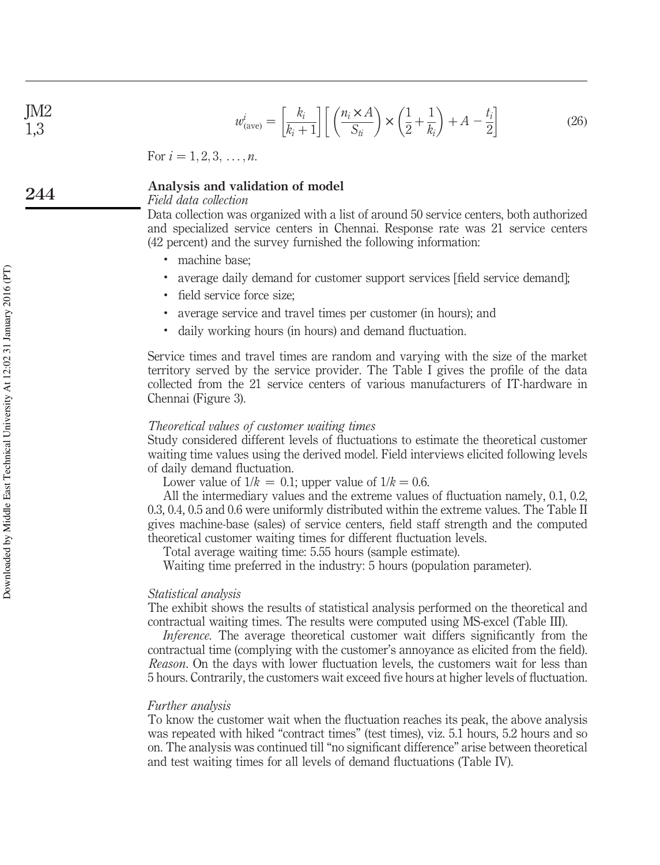## JM2 1,3

$$
w_{(\text{ave})}^i = \left[\frac{k_i}{k_i+1}\right] \left[\left(\frac{n_i \times A}{S_{ti}}\right) \times \left(\frac{1}{2} + \frac{1}{k_i}\right) + A - \frac{t_i}{2}\right] \tag{26}
$$

For  $i = 1, 2, 3, \ldots, n$ .

#### Analysis and validation of model 244

## *Field data collection*

Data collection was organized with a list of around 50 service centers, both authorized and specialized service centers in Chennai. Response rate was 21 service centers (42 percent) and the survey furnished the following information:

- . machine base;
- . average daily demand for customer support services [field service demand];
- . field service force size;
- . average service and travel times per customer (in hours); and
- . daily working hours (in hours) and demand fluctuation.

Service times and travel times are random and varying with the size of the market territory served by the service provider. The Table I gives the profile of the data collected from the 21 service centers of various manufacturers of IT-hardware in Chennai (Figure 3).

## *Theoretical values of customer waiting times*

Study considered different levels of fluctuations to estimate the theoretical customer waiting time values using the derived model. Field interviews elicited following levels of daily demand fluctuation.

Lower value of  $1/k = 0.1$ ; upper value of  $1/k = 0.6$ .

All the intermediary values and the extreme values of fluctuation namely, 0.1, 0.2, 0.3, 0.4, 0.5 and 0.6 were uniformly distributed within the extreme values. The Table II gives machine-base (sales) of service centers, field staff strength and the computed theoretical customer waiting times for different fluctuation levels.

Total average waiting time: 5.55 hours (sample estimate).

Waiting time preferred in the industry: 5 hours (population parameter).

## *Statistical analysis*

The exhibit shows the results of statistical analysis performed on the theoretical and contractual waiting times. The results were computed using MS-excel (Table III).

*Inference*. The average theoretical customer wait differs significantly from the contractual time (complying with the customer's annoyance as elicited from the field). *Reason*. On the days with lower fluctuation levels, the customers wait for less than 5 hours. Contrarily, the customers wait exceed five hours at higher levels of fluctuation.

## *Further analysis*

To know the customer wait when the fluctuation reaches its peak, the above analysis was repeated with hiked "contract times" (test times), viz. 5.1 hours, 5.2 hours and so on. The analysis was continued till "no significant difference" arise between theoretical and test waiting times for all levels of demand fluctuations (Table IV).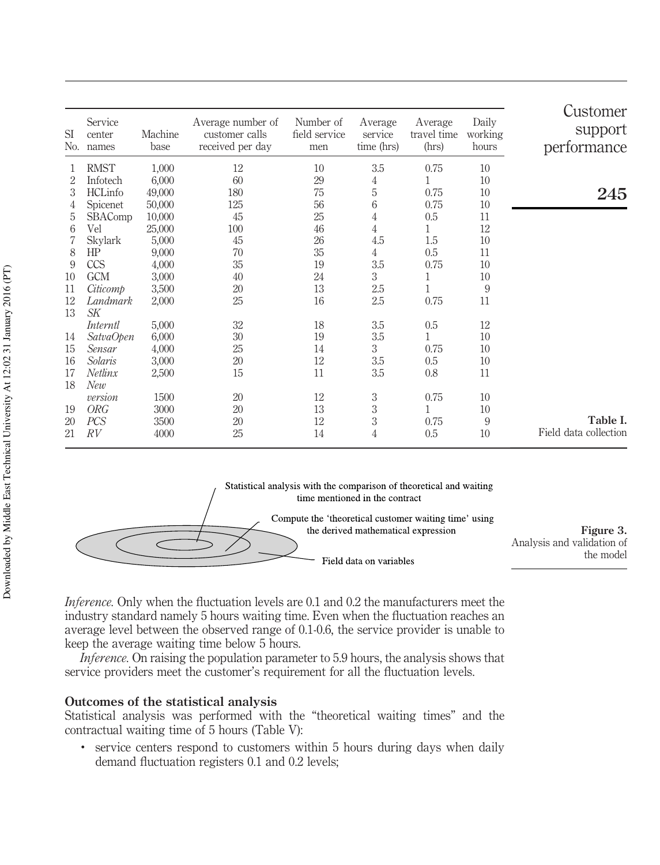| <b>SI</b><br>N <sub>0</sub> | Service<br>center<br>names | Machine<br>base | Average number of<br>customer calls<br>received per day | Number of<br>field service<br>men | Average<br>service<br>time (hrs) | Average<br>travel time<br>(hrs) | Daily<br>working<br>hours | Customer<br>support<br>performance |
|-----------------------------|----------------------------|-----------------|---------------------------------------------------------|-----------------------------------|----------------------------------|---------------------------------|---------------------------|------------------------------------|
|                             | <b>RMST</b>                | 1,000           | 12                                                      | 10                                | 3.5                              | 0.75                            | 10                        |                                    |
| 2                           | Infotech                   | 6,000           | 60                                                      | 29                                | 4                                | 1                               | 10                        |                                    |
| 3                           | HCLinfo                    | 49,000          | 180                                                     | 75                                | 5                                | 0.75                            | 10                        | 245                                |
| 4                           | Spicenet                   | 50,000          | 125                                                     | 56                                | 6                                | 0.75                            | 10                        |                                    |
| 5                           | <b>SBAComp</b>             | 10,000          | 45                                                      | 25                                | 4                                | 0.5                             | 11                        |                                    |
| 6                           | Vel                        | 25,000          | 100                                                     | 46                                | $\overline{4}$                   | $\mathbf{1}$                    | 12                        |                                    |
| 7                           | Skylark                    | 5,000           | 45                                                      | 26                                | 4.5                              | 1.5                             | 10                        |                                    |
| 8                           | HP                         | 9,000           | 70                                                      | 35                                | $\overline{4}$                   | 0.5                             | 11                        |                                    |
| 9                           | <b>CCS</b>                 | 4,000           | 35                                                      | 19                                | 3.5                              | 0.75                            | 10                        |                                    |
| 10                          | <b>GCM</b>                 | 3,000           | 40                                                      | 24                                | 3                                | 1                               | 10                        |                                    |
| 11                          | Citicomp                   | 3,500           | 20                                                      | 13                                | 2.5                              | 1                               | 9                         |                                    |
| 12                          | Landmark                   | 2,000           | 25                                                      | 16                                | 2.5                              | 0.75                            | 11                        |                                    |
| 13                          | SK                         |                 |                                                         |                                   |                                  |                                 |                           |                                    |
|                             | Interntl                   | 5,000           | 32                                                      | 18                                | 3.5                              | 0.5                             | 12                        |                                    |
| 14                          | <i>SatvaOpen</i>           | 6,000           | 30                                                      | 19                                | 3.5                              | 1                               | 10                        |                                    |
| 15                          | Sensar                     | 4,000           | 25                                                      | 14                                | 3                                | 0.75                            | 10                        |                                    |
| 16                          | Solaris                    | 3,000           | 20                                                      | 12                                | 3.5                              | 0.5                             | 10                        |                                    |
| 17                          | Netlinx                    | 2,500           | 15                                                      | 11                                | 3.5                              | 0.8                             | 11                        |                                    |
| 18                          | New                        |                 |                                                         |                                   |                                  |                                 |                           |                                    |
|                             | version                    | 1500            | 20                                                      | 12                                | 3                                | 0.75                            | 10                        |                                    |
| 19                          | <b>ORG</b>                 | 3000            | 20                                                      | 13                                | 3                                | 1                               | 10                        |                                    |
| 20                          | <b>PCS</b>                 | 3500            | 20                                                      | 12                                | 3                                | 0.75                            | 9                         | Table I.                           |
| 21                          | RV                         | 4000            | 25                                                      | 14                                | 4                                | 0.5                             | 10                        | Field data collection              |

Statistical analysis with the comparison of theoretical and waiting time mentioned in the contract

Field data on variables

Compute the 'theoretical customer waiting time' using the derived mathematical expression

Figure 3. Analysis and validation of the model

*Inference.* Only when the fluctuation levels are 0.1 and 0.2 the manufacturers meet the industry standard namely 5 hours waiting time. Even when the fluctuation reaches an average level between the observed range of 0.1-0.6, the service provider is unable to keep the average waiting time below 5 hours.

*Inference.* On raising the population parameter to 5.9 hours, the analysis shows that service providers meet the customer's requirement for all the fluctuation levels.

## Outcomes of the statistical analysis

Statistical analysis was performed with the "theoretical waiting times" and the contractual waiting time of 5 hours (Table V):

. service centers respond to customers within 5 hours during days when daily demand fluctuation registers 0.1 and 0.2 levels;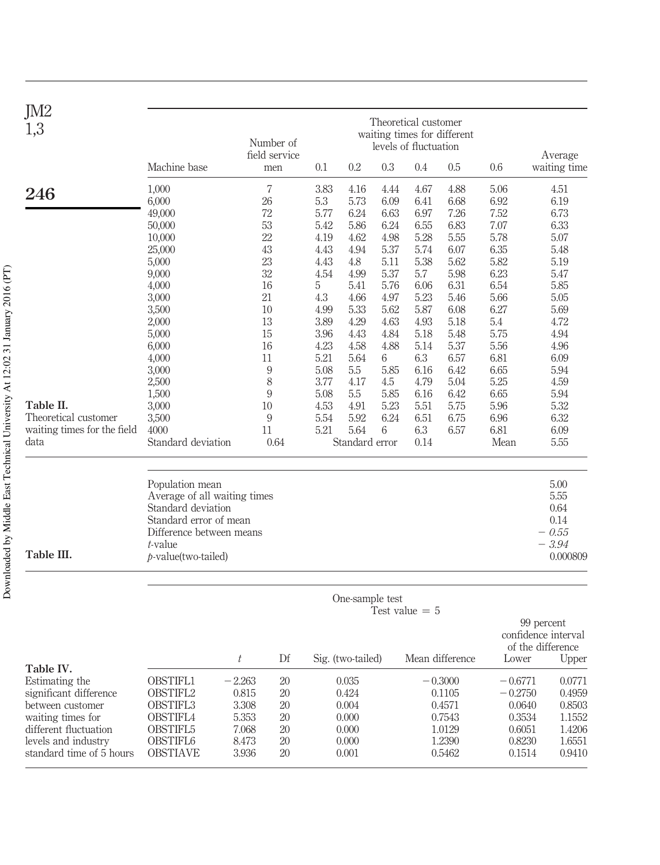| JM2<br>1,3                  |                                                    | Theoretical customer<br>waiting times for different<br>Number of<br>levels of fluctuation |                      |              |                   |           |                  |                 |              |                         |
|-----------------------------|----------------------------------------------------|-------------------------------------------------------------------------------------------|----------------------|--------------|-------------------|-----------|------------------|-----------------|--------------|-------------------------|
|                             | Machine base                                       |                                                                                           | field service<br>men | 0.1          | 0.2               | 0.3       | 0.4              | 0.5             | 0.6          | Average<br>waiting time |
| 246                         | 1,000                                              |                                                                                           | $\overline{7}$       | 3.83         | 4.16              | 4.44      | 4.67             | 4.88            | 5.06         | 4.51                    |
|                             | 6,000                                              | 26                                                                                        |                      | 5.3          | 5.73              | 6.09      | 6.41             | 6.68            | 6.92         | 6.19                    |
|                             | 49,000                                             | 72                                                                                        |                      | 5.77         | 6.24              | 6.63      | 6.97             | 7.26            | 7.52         | 6.73                    |
|                             | 50,000                                             | 53                                                                                        |                      | 5.42         | 5.86              | 6.24      | 6.55             | 6.83            | 7.07         | 6.33                    |
|                             | 10,000                                             | 22                                                                                        |                      | 4.19         | 4.62              | 4.98      | 5.28             | 5.55            | 5.78         | 5.07                    |
|                             | 25,000                                             | 43                                                                                        |                      | 4.43         | 4.94              | 5.37      | 5.74             | 6.07            | 6.35         | 5.48                    |
|                             | 5,000                                              | 23                                                                                        |                      | 4.43         | 4.8               | 5.11      | 5.38             | 5.62            | 5.82         | 5.19                    |
|                             | 9,000                                              | 32                                                                                        |                      | 4.54         | 4.99              | 5.37      | 5.7              | 5.98            | 6.23         | 5.47                    |
|                             | 4,000                                              | 16                                                                                        |                      | 5            | 5.41              | 5.76      | 6.06             | 6.31            | 6.54         | 5.85                    |
|                             | 3,000                                              | 21                                                                                        |                      | 4.3          | 4.66              | 4.97      | 5.23             | 5.46            | 5.66         | 5.05                    |
|                             | 3,500                                              | 10                                                                                        |                      | 4.99         | 5.33              | 5.62      | 5.87             | 6.08            | 6.27         | 5.69                    |
|                             | 2,000                                              | 13                                                                                        |                      | 3.89         | 4.29              | 4.63      | 4.93             | 5.18            | 5.4          | 4.72                    |
|                             | 5,000                                              | 15                                                                                        |                      | 3.96         | 4.43              | 4.84      | 5.18             | 5.48            | 5.75         | 4.94                    |
|                             | 6,000                                              | 16<br>11                                                                                  |                      | 4.23<br>5.21 | 4.58<br>5.64      | 4.88<br>6 | 5.14             | 5.37<br>6.57    | 5.56<br>6.81 | 4.96<br>6.09            |
|                             | 4,000<br>3,000                                     |                                                                                           | 9                    | 5.08         | 5.5               | 5.85      | 6.3<br>6.16      | 6.42            | 6.65         | 5.94                    |
|                             | 2,500                                              |                                                                                           | 8                    | 3.77         | 4.17              | 4.5       | 4.79             | 5.04            | 5.25         | 4.59                    |
|                             | 1,500                                              |                                                                                           | 9                    | 5.08         | 5.5               | 5.85      | 6.16             | 6.42            | 6.65         | 5.94                    |
| Table II.                   | 3,000                                              | 10                                                                                        |                      | 4.53         | 4.91              | 5.23      | 5.51             | 5.75            | 5.96         | 5.32                    |
| Theoretical customer        | 3,500                                              |                                                                                           | 9                    | 5.54         | 5.92              | 6.24      | 6.51             | 6.75            | 6.96         | 6.32                    |
| waiting times for the field | 4000                                               | 11                                                                                        |                      | 5.21         | 5.64              | 6         | 6.3              | 6.57            | 6.81         | 6.09                    |
| data                        | Standard deviation                                 |                                                                                           | 0.64                 |              | Standard error    |           | 0.14             |                 | Mean         | 5.55                    |
|                             |                                                    |                                                                                           |                      |              |                   |           |                  |                 |              |                         |
|                             |                                                    |                                                                                           |                      |              |                   |           |                  |                 |              |                         |
|                             | Population mean                                    |                                                                                           |                      |              |                   |           |                  |                 |              | 5.00                    |
|                             | Average of all waiting times<br>Standard deviation |                                                                                           |                      |              |                   |           |                  |                 |              | 5.55                    |
|                             | Standard error of mean                             |                                                                                           |                      |              |                   |           |                  |                 |              | 0.64<br>0.14            |
|                             | Difference between means                           |                                                                                           |                      |              |                   |           |                  |                 |              | $-.655$                 |
|                             | $t$ -value                                         |                                                                                           |                      |              |                   |           |                  |                 |              | $-3.94$                 |
| Table III.                  | $p$ -value(two-tailed)                             |                                                                                           |                      |              |                   |           |                  |                 |              | 0.000809                |
|                             |                                                    |                                                                                           |                      |              |                   |           |                  |                 |              |                         |
|                             |                                                    |                                                                                           |                      |              | One-sample test   |           | Test value $= 5$ |                 |              |                         |
|                             |                                                    |                                                                                           |                      |              |                   |           |                  |                 |              | 99 percent              |
|                             |                                                    |                                                                                           |                      |              |                   |           |                  |                 |              | confidence interval     |
|                             |                                                    |                                                                                           |                      |              |                   |           |                  |                 |              | of the difference       |
| Table IV.                   |                                                    | t                                                                                         | Df                   |              | Sig. (two-tailed) |           |                  | Mean difference | Lower        | Upper                   |
| Estimating the              | OBSTIFL1                                           | $-2.263$                                                                                  | 20                   |              | 0.035             |           |                  | $-0.3000$       | $-0.6771$    | 0.0771                  |
| significant difference      | OBSTIFL2                                           | 0.815                                                                                     | 20                   |              | 0.424             |           |                  | 0.1105          | $-0.2750$    | 0.4959                  |
| between customer            | OBSTIFL3                                           | 3.308                                                                                     | 20                   |              | 0.004             |           |                  | 0.4571          | 0.0640       | 0.8503                  |
| waiting times for           | <b>OBSTIFL4</b>                                    | 5.353                                                                                     | 20                   |              | 0.000             |           |                  | 0.7543          | 0.3534       | 1.1552                  |
| different fluctuation       | OBSTIFL5                                           | 7.068                                                                                     | 20                   |              | 0.000             |           |                  | 1.0129          | 0.6051       | 1.4206                  |
| levels and industry         | OBSTIFL6                                           | 8.473                                                                                     | 20                   |              | 0.000             |           |                  | 1.2390          | 0.8230       | 1.6551                  |
| standard time of 5 hours    | <b>OBSTIAVE</b>                                    | 3.936                                                                                     | 20                   |              | 0.001             |           |                  | 0.5462          | 0.1514       | 0.9410                  |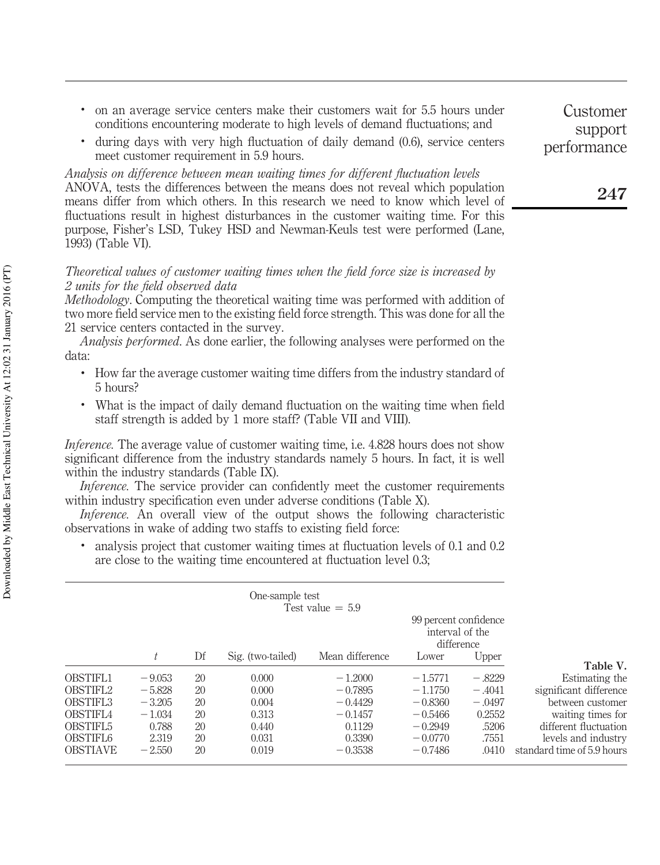- . on an average service centers make their customers wait for 5.5 hours under conditions encountering moderate to high levels of demand fluctuations; and
- . during days with very high fluctuation of daily demand (0.6), service centers meet customer requirement in 5.9 hours.

*Analysis on difference between mean waiting times for different fluctuation levels* ANOVA, tests the differences between the means does not reveal which population means differ from which others. In this research we need to know which level of fluctuations result in highest disturbances in the customer waiting time. For this purpose, Fisher's LSD, Tukey HSD and Newman-Keuls test were performed (Lane, 1993) (Table VI).

## *Theoretical values of customer waiting times when the field force size is increased by 2 units for the field observed data*

*Methodology*. Computing the theoretical waiting time was performed with addition of two more field service men to the existing field force strength. This was done for all the 21 service centers contacted in the survey.

*Analysis performed*. As done earlier, the following analyses were performed on the data:

- . How far the average customer waiting time differs from the industry standard of 5 hours?
- . What is the impact of daily demand fluctuation on the waiting time when field staff strength is added by 1 more staff? (Table VII and VIII).

*Inference*. The average value of customer waiting time, i.e. 4.828 hours does not show significant difference from the industry standards namely 5 hours. In fact, it is well within the industry standards (Table IX).

*Inference*. The service provider can confidently meet the customer requirements within industry specification even under adverse conditions (Table X).

*Inference.* An overall view of the output shows the following characteristic observations in wake of adding two staffs to existing field force:

. analysis project that customer waiting times at fluctuation levels of 0.1 and 0.2 are close to the waiting time encountered at fluctuation level 0.3;

|                 |          |    | One-sample test   | Test value $= 5.9$ | 99 percent confidence<br>interval of the<br>difference |          |                            |
|-----------------|----------|----|-------------------|--------------------|--------------------------------------------------------|----------|----------------------------|
|                 | t        | Df | Sig. (two-tailed) | Mean difference    | Lower                                                  | Upper    |                            |
| <b>OBSTIFL1</b> | $-9.053$ | 20 | 0.000             | $-1.2000$          | $-1.5771$                                              | $-.8229$ | Table V.<br>Estimating the |
| OBSTIFL2        | $-5.828$ | 20 | 0.000             | $-0.7895$          | $-1.1750$                                              |          | significant difference     |
|                 |          |    |                   |                    |                                                        | $-.4041$ |                            |
| OBSTIFL3        | $-3.205$ | 20 | 0.004             | $-0.4429$          | $-0.8360$                                              | $-.0497$ | between customer           |
| <b>OBSTIFL4</b> | $-1.034$ | 20 | 0.313             | $-0.1457$          | $-0.5466$                                              | 0.2552   | waiting times for          |
| OBSTIFL5        | 0.788    | 20 | 0.440             | 0.1129             | $-0.2949$                                              | .5206    | different fluctuation      |
| OBSTIFL6        | 2.319    | 20 | 0.031             | 0.3390             | $-0.0770$                                              | .7551    | levels and industry        |
| <b>OBSTIAVE</b> | $-2.550$ | 20 | 0.019             | $-0.3538$          | $-0.7486$                                              | .0410    | standard time of 5.9 hours |

Customer support performance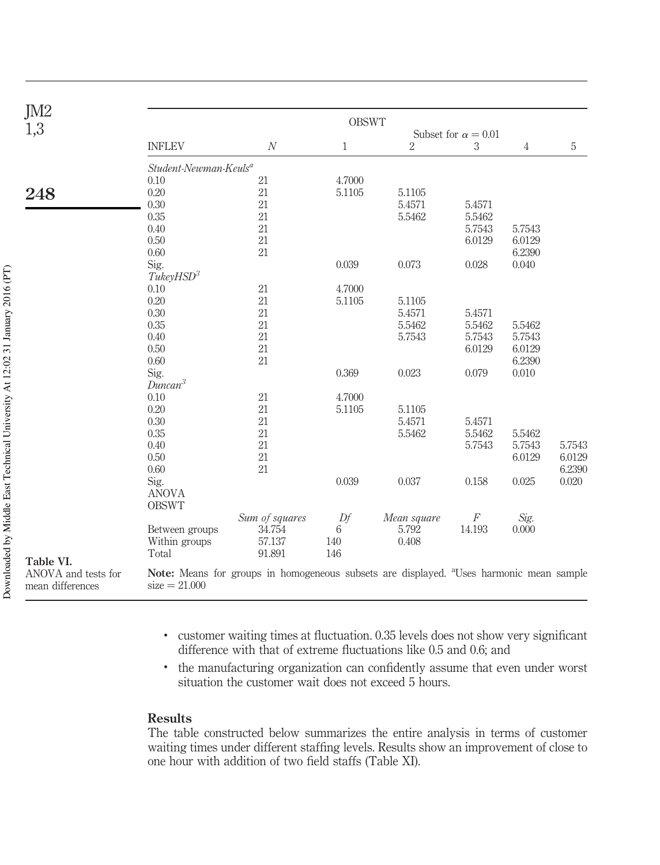| JM <sub>2</sub>                         |                                   |                                                                                                     | <b>OBSWT</b> |                |                            |        |             |
|-----------------------------------------|-----------------------------------|-----------------------------------------------------------------------------------------------------|--------------|----------------|----------------------------|--------|-------------|
| 1,3                                     |                                   |                                                                                                     |              |                | Subset for $\alpha = 0.01$ |        |             |
|                                         | <b>INFLEV</b>                     | $\boldsymbol{N}$                                                                                    | 1            | $\overline{2}$ | 3                          | 4      | $\mathbf 5$ |
|                                         | Student-Newman-Keuls <sup>a</sup> |                                                                                                     |              |                |                            |        |             |
|                                         | 0.10                              | 21                                                                                                  | 4.7000       |                |                            |        |             |
| 248                                     | 0.20                              | 21                                                                                                  | 5.1105       | 5.1105         |                            |        |             |
|                                         | 0.30                              | 21                                                                                                  |              | 5.4571         | 5.4571                     |        |             |
|                                         | 0.35                              | 21                                                                                                  |              | 5.5462         | 5.5462                     |        |             |
|                                         | 0.40                              | 21                                                                                                  |              |                | 5.7543                     | 5.7543 |             |
|                                         | 0.50                              | 21                                                                                                  |              |                | 6.0129                     | 6.0129 |             |
|                                         | 0.60                              | 21                                                                                                  |              |                |                            | 6.2390 |             |
|                                         | Sig.                              |                                                                                                     | 0.039        | 0.073          | 0.028                      | 0.040  |             |
|                                         | TukeyHSD <sup>3</sup>             |                                                                                                     |              |                |                            |        |             |
|                                         | 0.10                              | 21                                                                                                  | 4.7000       |                |                            |        |             |
|                                         | 0.20                              | $21\,$                                                                                              | 5.1105       | 5.1105         |                            |        |             |
|                                         | 0.30                              | 21                                                                                                  |              | 5.4571         | 5.4571                     |        |             |
|                                         | $0.35\,$                          | 21                                                                                                  |              | 5.5462         | 5.5462                     | 5.5462 |             |
|                                         | 0.40                              | 21                                                                                                  |              | 5.7543         | 5.7543                     | 5.7543 |             |
|                                         | 0.50                              | 21                                                                                                  |              |                | 6.0129                     | 6.0129 |             |
|                                         | 0.60                              | 21                                                                                                  |              |                |                            | 6.2390 |             |
|                                         | Sig.                              |                                                                                                     | 0.369        | 0.023          | 0.079                      | 0.010  |             |
|                                         | Duncan <sup>3</sup>               |                                                                                                     |              |                |                            |        |             |
|                                         | $0.10\,$                          | 21                                                                                                  | 4.7000       |                |                            |        |             |
|                                         | 0.20                              | 21                                                                                                  | 5.1105       | 5.1105         |                            |        |             |
|                                         | 0.30                              | 21                                                                                                  |              | 5.4571         | 5.4571                     |        |             |
|                                         | 0.35                              | 21                                                                                                  |              | 5.5462         | 5.5462                     | 5.5462 |             |
|                                         | 0.40                              | 21                                                                                                  |              |                | 5.7543                     | 5.7543 | 5.7543      |
|                                         | 0.50                              | 21                                                                                                  |              |                |                            | 6.0129 | 6.0129      |
|                                         | 0.60                              | 21                                                                                                  |              |                |                            |        | 6.2390      |
|                                         | Sig.                              |                                                                                                     | 0.039        | 0.037          | 0.158                      | 0.025  | 0.020       |
|                                         | <b>ANOVA</b>                      |                                                                                                     |              |                |                            |        |             |
|                                         | <b>OBSWT</b>                      |                                                                                                     |              |                |                            |        |             |
|                                         |                                   | Sum of squares                                                                                      | Df           | Mean square    | F                          | Sig.   |             |
|                                         | Between groups                    | 34.754                                                                                              | 6            | 5.792          | 14.193                     | 0.000  |             |
|                                         | Within groups                     | 57.137                                                                                              | 140          | 0.408          |                            |        |             |
|                                         | Total                             | 91.891                                                                                              | 146          |                |                            |        |             |
| Table VI.                               |                                   |                                                                                                     |              |                |                            |        |             |
| ANOVA and tests for<br>mean differences | $size = 21.000$                   | Note: Means for groups in homogeneous subsets are displayed. <sup>a</sup> Uses harmonic mean sample |              |                |                            |        |             |
|                                         |                                   |                                                                                                     |              |                |                            |        |             |

- . customer waiting times at fluctuation. 0.35 levels does not show very significant difference with that of extreme fluctuations like 0.5 and 0.6; and
- . the manufacturing organization can confidently assume that even under worst situation the customer wait does not exceed 5 hours.

## Results

The table constructed below summarizes the entire analysis in terms of customer waiting times under different staffing levels. Results show an improvement of close to one hour with addition of two field staffs (Table XI).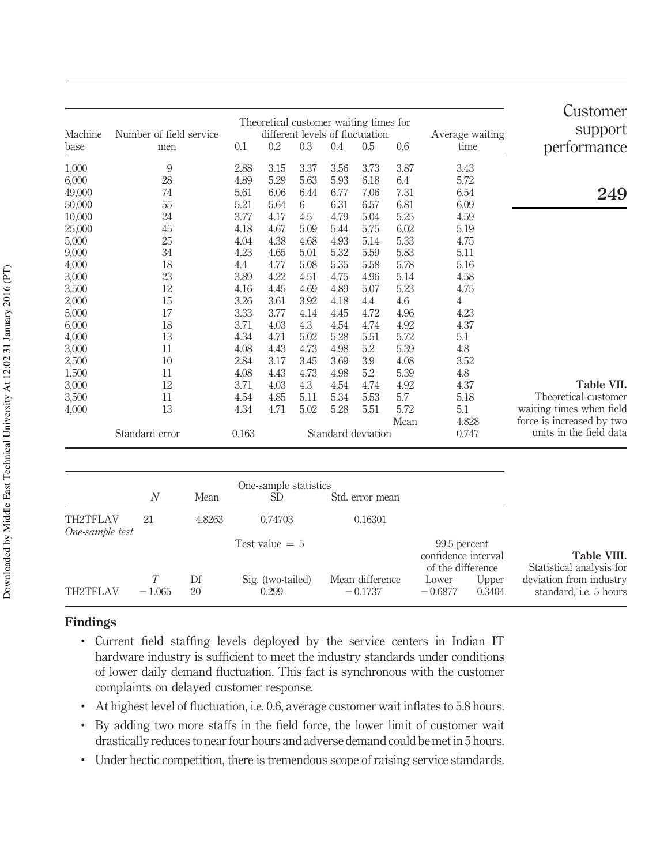| Customer<br>support       |                 |         |                    |      |      | Theoretical customer waiting times for |       |                         |         |
|---------------------------|-----------------|---------|--------------------|------|------|----------------------------------------|-------|-------------------------|---------|
|                           | Average waiting |         |                    |      |      | different levels of fluctuation        |       | Number of field service | Machine |
| performance               | time            | 0.6     | 0.5                | 0.4  | 0.3  | 0.2                                    | 0.1   | men                     | base    |
|                           | 3.43            | 3.87    | 3.73               | 3.56 | 3.37 | 3.15                                   | 2.88  | 9                       | 1,000   |
|                           | 5.72            | 6.4     | 6.18               | 5.93 | 5.63 | 5.29                                   | 4.89  | 28                      | 6,000   |
| 249                       | 6.54            | 7.31    | 7.06               | 6.77 | 6.44 | 6.06                                   | 5.61  | 74                      | 49,000  |
|                           | 6.09            | 6.81    | 6.57               | 6.31 | 6    | 5.64                                   | 5.21  | 55                      | 50,000  |
|                           | 4.59            | 5.25    | 5.04               | 4.79 | 4.5  | 4.17                                   | 3.77  | 24                      | 10,000  |
|                           | 5.19            | 6.02    | 5.75               | 5.44 | 5.09 | 4.67                                   | 4.18  | 45                      | 25,000  |
|                           | 4.75            | 5.33    | 5.14               | 4.93 | 4.68 | 4.38                                   | 4.04  | 25                      | 5,000   |
|                           | 5.11            | 5.83    | 5.59               | 5.32 | 5.01 | 4.65                                   | 4.23  | 34                      | 9,000   |
|                           | 5.16            | 5.78    | 5.58               | 5.35 | 5.08 | 4.77                                   | 4.4   | 18                      | 4,000   |
|                           | 4.58            | 5.14    | 4.96               | 4.75 | 4.51 | 4.22                                   | 3.89  | 23                      | 3,000   |
|                           | 4.75            | 5.23    | 5.07               | 4.89 | 4.69 | 4.45                                   | 4.16  | 12                      | 3,500   |
|                           | 4               | 4.6     | 4.4                | 4.18 | 3.92 | 3.61                                   | 3.26  | 15                      | 2,000   |
|                           | 4.23            | 4.96    | 4.72               | 4.45 | 4.14 | 3.77                                   | 3.33  | 17                      | 5,000   |
|                           | 4.37            | 4.92    | 4.74               | 4.54 | 4.3  | 4.03                                   | 3.71  | 18                      | 6,000   |
|                           | 5.1             | 5.72    | 5.51               | 5.28 | 5.02 | 4.71                                   | 4.34  | 13                      | 4,000   |
|                           | 4.8             | 5.39    | 5.2                | 4.98 | 4.73 | 4.43                                   | 4.08  | 11                      | 3,000   |
|                           | 3.52            | 4.08    | 3.9                | 3.69 | 3.45 | 3.17                                   | 2.84  | 10                      | 2,500   |
|                           | 4.8             | 5.39    | 5.2                | 4.98 | 4.73 | 4.43                                   | 4.08  | 11                      | 1,500   |
| Table VII.                | 4.37            | 4.92    | 4.74               | 4.54 | 4.3  | 4.03                                   | 3.71  | 12                      | 3,000   |
| Theoretical customer      | 5.18            | $5.7\,$ | 5.53               | 5.34 | 5.11 | 4.85                                   | 4.54  | 11                      | 3,500   |
| waiting times when field  | 5.1             | 5.72    | 5.51               | 5.28 | 5.02 | 4.71                                   | 4.34  | 13                      | 4,000   |
| force is increased by two | 4.828           | Mean    |                    |      |      |                                        |       |                         |         |
| units in the field data   | 0.747           |         | Standard deviation |      |      |                                        | 0.163 | Standard error          |         |

|                             | N        | Mean     | One-sample statistics<br>SD. | Std. error mean              |                                                          |                 |                                                          |
|-----------------------------|----------|----------|------------------------------|------------------------------|----------------------------------------------------------|-----------------|----------------------------------------------------------|
| TH2TFLAV<br>One-sample test | 21       | 4.8263   | 0.74703                      | 0.16301                      |                                                          |                 |                                                          |
|                             |          |          | Test value $= 5$             |                              | 99.5 percent<br>confidence interval<br>of the difference |                 | Table VIII.<br>Statistical analysis for                  |
| TH2TFLAV                    | $-1.065$ | Df<br>20 | Sig. (two-tailed)<br>0.299   | Mean difference<br>$-0.1737$ | Lower<br>$-0.6877$                                       | Upper<br>0.3404 | deviation from industry<br>standard, <i>i.e.</i> 5 hours |

## Findings

- . Current field staffing levels deployed by the service centers in Indian IT hardware industry is sufficient to meet the industry standards under conditions of lower daily demand fluctuation. This fact is synchronous with the customer complaints on delayed customer response.
- . At highest level of fluctuation, i.e. 0.6, average customer wait inflates to 5.8 hours.
- . By adding two more staffs in the field force, the lower limit of customer wait drastically reduces to near four hours and adverse demand could be met in 5 hours.
- . Under hectic competition, there is tremendous scope of raising service standards.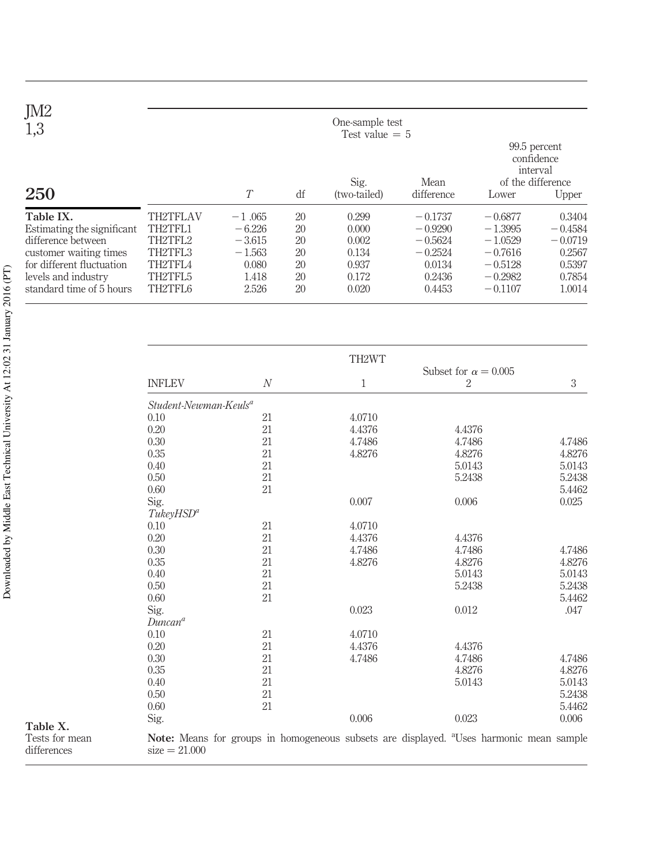| JM <sub>2</sub><br>1,3                                                                                                                                                  |                                                                                   |                                                                         |                                        | One-sample test<br>Test value $= 5$                         |                                                                                |                                                                                         |                                                                          |
|-------------------------------------------------------------------------------------------------------------------------------------------------------------------------|-----------------------------------------------------------------------------------|-------------------------------------------------------------------------|----------------------------------------|-------------------------------------------------------------|--------------------------------------------------------------------------------|-----------------------------------------------------------------------------------------|--------------------------------------------------------------------------|
| 250                                                                                                                                                                     |                                                                                   | $\tau$                                                                  | df                                     | Sig.<br>(two-tailed)                                        | Mean<br>difference                                                             | Lower                                                                                   | 99.5 percent<br>confidence<br>interval<br>of the difference<br>Upper     |
| Table IX.<br>Estimating the significant<br>difference between<br>customer waiting times<br>for different fluctuation<br>levels and industry<br>standard time of 5 hours | <b>TH2TFLAV</b><br>TH2TFL1<br>TH2TFL2<br>TH2TFL3<br>TH2TFL4<br>TH2TFL5<br>TH2TFL6 | $-1.065$<br>$-6.226$<br>$-3.615$<br>$-1.563$<br>0.080<br>1.418<br>2.526 | 20<br>20<br>20<br>20<br>20<br>20<br>20 | 0.299<br>0.000<br>0.002<br>0.134<br>0.937<br>0.172<br>0.020 | $-0.1737$<br>$-0.9290$<br>$-0.5624$<br>$-0.2524$<br>0.0134<br>0.2436<br>0.4453 | $-0.6877$<br>$-1.3995$<br>$-1.0529$<br>$-0.7616$<br>$-0.5128$<br>$-0.2982$<br>$-0.1107$ | 0.3404<br>$-0.4584$<br>$-0.0719$<br>0.2567<br>0.5397<br>0.7854<br>1.0014 |

|                                   |              | TH2WT        |                                               |        |
|-----------------------------------|--------------|--------------|-----------------------------------------------|--------|
| <b>INFLEV</b>                     | $\mathcal N$ | $\mathbf{1}$ | Subset for $\alpha = 0.005$<br>$\overline{2}$ |        |
| Student-Newman-Keuls <sup>a</sup> |              |              |                                               |        |
| 0.10                              | 21           | 4.0710       |                                               |        |
| 0.20                              | 21           | 4.4376       | 4.4376                                        |        |
| 0.30                              | 21           | 4.7486       | 4.7486                                        | 4.7486 |
| 0.35                              | 21           | 4.8276       | 4.8276                                        | 4.8276 |
| 0.40                              | 21           |              | 5.0143                                        | 5.0143 |
| 0.50                              | 21           |              | 5.2438                                        | 5.2438 |
| 0.60                              | 21           |              |                                               | 5.4462 |
| Sig.                              |              | 0.007        | 0.006                                         | 0.025  |
| TukeyHSD <sup>a</sup>             |              |              |                                               |        |
| 0.10                              | 21           | 4.0710       |                                               |        |
| 0.20                              | 21           | 4.4376       | 4.4376                                        |        |
| 0.30                              | 21           | 4.7486       | 4.7486                                        | 4.7486 |
| 0.35                              | 21           | 4.8276       | 4.8276                                        | 4.8276 |
| 0.40                              | 21           |              | 5.0143                                        | 5.0143 |
| 0.50                              | 21           |              | 5.2438                                        | 5.2438 |
| 0.60                              | 21           |              |                                               | 5.4462 |
| Sig.                              |              | 0.023        | 0.012                                         |        |
| $Duncan^a$                        |              |              |                                               |        |
| 0.10                              | 21           | 4.0710       |                                               |        |
| 0.20                              | 21           | 4.4376       | 4.4376                                        |        |
| 0.30                              | 21           | 4.7486       | 4.7486                                        | 4.7486 |
| 0.35                              | 21           |              | 4.8276                                        | 4.8276 |
| 0.40                              | 21           |              | 5.0143                                        | 5.0143 |
| 0.50                              | 21           |              |                                               | 5.2438 |
| 0.60                              | 21           |              |                                               | 5.4462 |
| Sig.                              |              | 0.006        | 0.023                                         | 0.006  |

Downloaded by Middle East Technical University At 12:02 31 January 2016 (PT) Downloaded by Middle East Technical University At 12:02 31 January 2016 (PT)

Table X. Tests for mean differences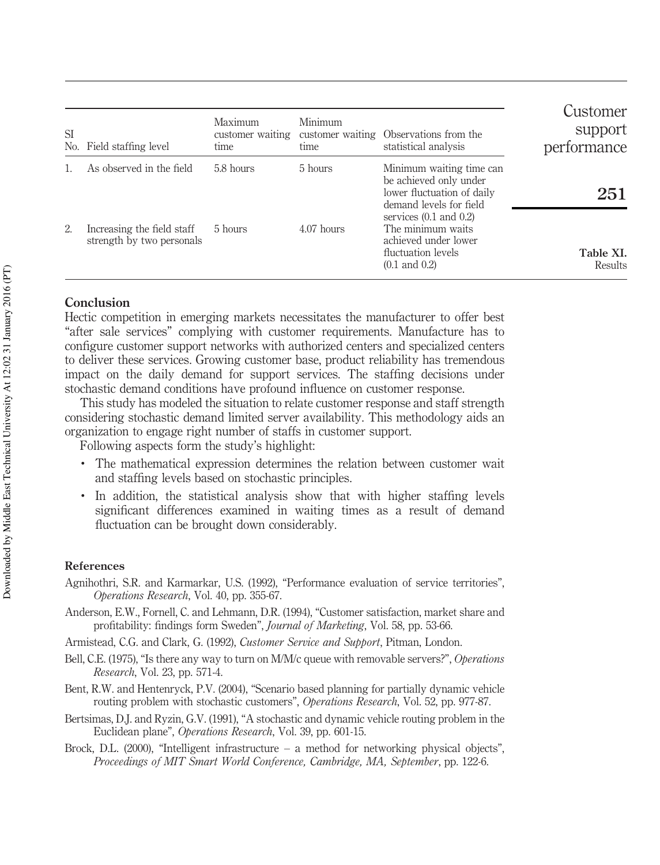| <b>SI</b><br>No. | Field staffing level                                    | Maximum<br>time | Minimum<br>time | customer waiting customer waiting Observations from the<br>statistical analysis                                           | Customer<br>support<br>performance |
|------------------|---------------------------------------------------------|-----------------|-----------------|---------------------------------------------------------------------------------------------------------------------------|------------------------------------|
|                  | As observed in the field                                | 5.8 hours       | 5 hours         | Minimum waiting time can<br>be achieved only under<br>lower fluctuation of daily<br>demand levels for field               | 251                                |
| 2.               | Increasing the field staff<br>strength by two personals | 5 hours         | $4.07$ hours    | services $(0.1$ and $0.2)$<br>The minimum waits<br>achieved under lower<br>fluctuation levels<br>$(0.1 \text{ and } 0.2)$ | Table XI.<br>Results               |

## Conclusion

Hectic competition in emerging markets necessitates the manufacturer to offer best "after sale services" complying with customer requirements. Manufacture has to configure customer support networks with authorized centers and specialized centers to deliver these services. Growing customer base, product reliability has tremendous impact on the daily demand for support services. The staffing decisions under stochastic demand conditions have profound influence on customer response.

This study has modeled the situation to relate customer response and staff strength considering stochastic demand limited server availability. This methodology aids an organization to engage right number of staffs in customer support.

Following aspects form the study's highlight:

- . The mathematical expression determines the relation between customer wait and staffing levels based on stochastic principles.
- . In addition, the statistical analysis show that with higher staffing levels significant differences examined in waiting times as a result of demand fluctuation can be brought down considerably.

## References

- Agnihothri, S.R. and Karmarkar, U.S. (1992), "Performance evaluation of service territories", *Operations Research*, Vol. 40, pp. 355-67.
- Anderson, E.W., Fornell, C. and Lehmann, D.R. (1994), "Customer satisfaction, market share and profitability: findings form Sweden", *Journal of Marketing*, Vol. 58, pp. 53-66.
- Armistead, C.G. and Clark, G. (1992), *Customer Service and Support*, Pitman, London.
- Bell, C.E. (1975), "Is there any way to turn on M/M/c queue with removable servers?", *Operations Research*, Vol. 23, pp. 571-4.
- Bent, R.W. and Hentenryck, P.V. (2004), "Scenario based planning for partially dynamic vehicle routing problem with stochastic customers", *Operations Research*, Vol. 52, pp. 977-87.
- Bertsimas, D.J. and Ryzin, G.V. (1991), "A stochastic and dynamic vehicle routing problem in the Euclidean plane", *Operations Research*, Vol. 39, pp. 601-15.
- Brock, D.L. (2000), "Intelligent infrastructure a method for networking physical objects", *Proceedings of MIT Smart World Conference, Cambridge, MA, September*, pp. 122-6.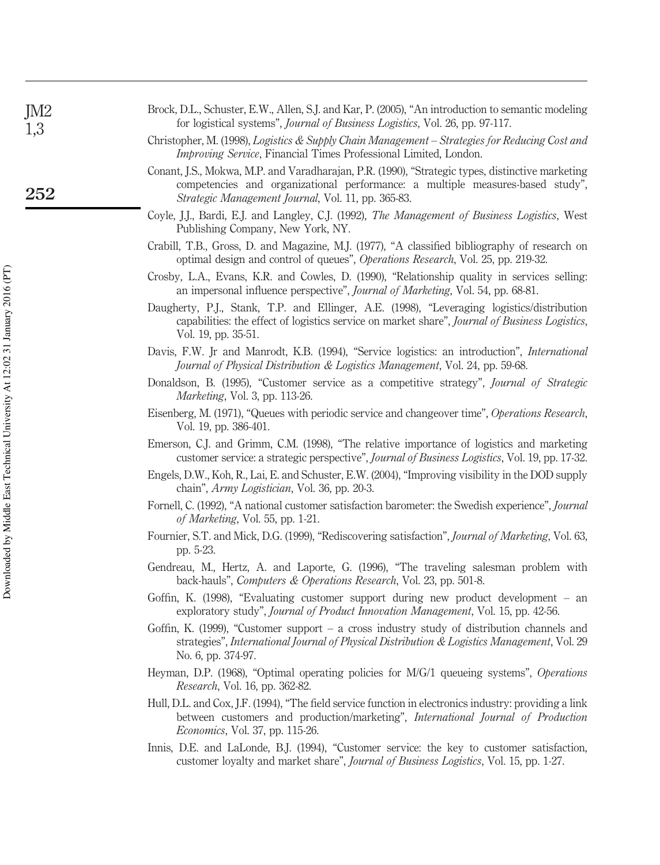| Improving Service, Financial Times Professional Limited, London.                                                                                                                                                                         |
|------------------------------------------------------------------------------------------------------------------------------------------------------------------------------------------------------------------------------------------|
| Conant, J.S., Mokwa, M.P. and Varadharajan, P.R. (1990), "Strategic types, distinctive marketing<br>competencies and organizational performance: a multiple measures-based study",<br>Strategic Management Journal, Vol. 11, pp. 365-83. |
| Coyle, J.J., Bardi, E.J. and Langley, C.J. (1992), The Management of Business Logistics, West<br>Publishing Company, New York, NY.                                                                                                       |
| Crabill, T.B., Gross, D. and Magazine, M.J. (1977), "A classified bibliography of research on<br>optimal design and control of queues", <i>Operations Research</i> , Vol. 25, pp. 219-32.                                                |
| Crosby, L.A., Evans, K.R. and Cowles, D. (1990), "Relationship quality in services selling:<br>an impersonal influence perspective", <i>Journal of Marketing</i> , Vol. 54, pp. 68-81.                                                   |
| Daugherty, P.J., Stank, T.P. and Ellinger, A.E. (1998), "Leveraging logistics/distribution<br>capabilities: the effect of logistics service on market share", Journal of Business Logistics,<br>Vol. 19, pp. 35-51.                      |
| Davis, F.W. Jr and Manrodt, K.B. (1994), "Service logistics: an introduction", International<br>Journal of Physical Distribution & Logistics Management, Vol. 24, pp. 59-68.                                                             |
| Donaldson, B. (1995), "Customer service as a competitive strategy", Journal of Strategic<br><i>Marketing</i> , Vol. 3, pp. 113-26.                                                                                                       |
| Eisenberg, M. (1971), "Queues with periodic service and changeover time", Operations Research,<br>Vol. 19, pp. 386-401.                                                                                                                  |
| Emerson, C.J. and Grimm, C.M. (1998), "The relative importance of logistics and marketing<br>customer service: a strategic perspective", Journal of Business Logistics, Vol. 19, pp. 17-32.                                              |
| Engels, D.W., Koh, R., Lai, E. and Schuster, E.W. (2004), "Improving visibility in the DOD supply<br>chain", <i>Army Logistician</i> , Vol. 36, pp. 20-3.                                                                                |
| Fornell, C. (1992), "A national customer satisfaction barometer: the Swedish experience", Journal<br>of Marketing, Vol. 55, pp. 1-21.                                                                                                    |
| Fournier, S.T. and Mick, D.G. (1999), "Rediscovering satisfaction", Journal of Marketing, Vol. 63,<br>pp. 5-23.                                                                                                                          |
| Gendreau, M., Hertz, A. and Laporte, G. (1996), "The traveling salesman problem with<br>back-hauls", Computers & Operations Research, Vol. 23, pp. 501-8.                                                                                |
| Goffin, K. (1998), "Evaluating customer support during new product development – an<br>exploratory study", Journal of Product Innovation Management, Vol. 15, pp. 42-56.                                                                 |
| Goffin, K. (1999), "Customer support $-$ a cross industry study of distribution channels and<br>strategies", International Journal of Physical Distribution & Logistics Management, Vol. 29<br>No. 6, pp. 374-97.                        |
| Heyman, D.P. (1968), "Optimal operating policies for M/G/1 queueing systems", Operations<br>Research, Vol. 16, pp. 362-82.                                                                                                               |
| Hull, D.L. and Cox, J.F. (1994), "The field service function in electronics industry: providing a link<br>between customers and production/marketing", International Journal of Production<br>Economics, Vol. 37, pp. 115-26.            |
| Innis, D.E. and LaLonde, B.J. (1994), "Customer service: the key to customer satisfaction,                                                                                                                                               |
|                                                                                                                                                                                                                                          |

Brock, D.L., Schuster, E.W., Allen, S.J. and Kar, P. (2005), "An introduction to semantic modeling

Christopher, M. (1998), *Logistics & Supply Chain Management – Strategies for Reducing Cost and*

for logistical systems", *Journal of Business Logistics*, Vol. 26, pp. 97-117.

JM2 1,3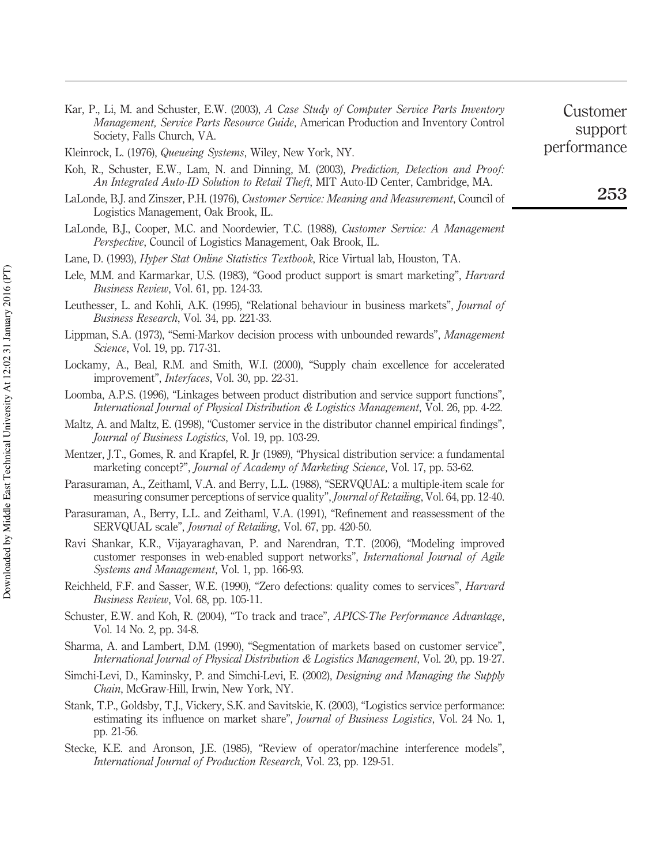Downloaded by Middle East Technical University At 12:02 31 January 2016 (PT) Downloaded by Middle East Technical University At 12:02 31 January 2016 (PT)

- Kar, P., Li, M. and Schuster, E.W. (2003), *A Case Study of Computer Service Parts Inventory Management, Service Parts Resource Guide*, American Production and Inventory Control Society, Falls Church, VA.
- Kleinrock, L. (1976), *Queueing Systems*, Wiley, New York, NY.
- Koh, R., Schuster, E.W., Lam, N. and Dinning, M. (2003), *Prediction, Detection and Proof: An Integrated Auto-ID Solution to Retail Theft*, MIT Auto-ID Center, Cambridge, MA.
- LaLonde, B.J. and Zinszer, P.H. (1976), *Customer Service: Meaning and Measurement*, Council of Logistics Management, Oak Brook, IL.
- LaLonde, B.J., Cooper, M.C. and Noordewier, T.C. (1988), *Customer Service: A Management Perspective*, Council of Logistics Management, Oak Brook, IL.
- Lane, D. (1993), *Hyper Stat Online Statistics Textbook*, Rice Virtual lab, Houston, TA.
- Lele, M.M. and Karmarkar, U.S. (1983), "Good product support is smart marketing", *Harvard Business Review*, Vol. 61, pp. 124-33.
- Leuthesser, L. and Kohli, A.K. (1995), "Relational behaviour in business markets", *Journal of Business Research*, Vol. 34, pp. 221-33.
- Lippman, S.A. (1973), "Semi-Markov decision process with unbounded rewards", *Management Science*, Vol. 19, pp. 717-31.
- Lockamy, A., Beal, R.M. and Smith, W.I. (2000), "Supply chain excellence for accelerated improvement", *Interfaces*, Vol. 30, pp. 22-31.
- Loomba, A.P.S. (1996), "Linkages between product distribution and service support functions", *International Journal of Physical Distribution & Logistics Management*, Vol. 26, pp. 4-22.
- Maltz, A. and Maltz, E. (1998), "Customer service in the distributor channel empirical findings", *Journal of Business Logistics*, Vol. 19, pp. 103-29.
- Mentzer, J.T., Gomes, R. and Krapfel, R. Jr (1989), "Physical distribution service: a fundamental marketing concept?", *Journal of Academy of Marketing Science*, Vol. 17, pp. 53-62.
- Parasuraman, A., Zeithaml, V.A. and Berry, L.L. (1988), "SERVQUAL: a multiple-item scale for measuring consumer perceptions of service quality", *Journal of Retailing*, Vol. 64, pp. 12-40.
- Parasuraman, A., Berry, L.L. and Zeithaml, V.A. (1991), "Refinement and reassessment of the SERVQUAL scale", *Journal of Retailing*, Vol. 67, pp. 420-50.
- Ravi Shankar, K.R., Vijayaraghavan, P. and Narendran, T.T. (2006), "Modeling improved customer responses in web-enabled support networks", *International Journal of Agile Systems and Management*, Vol. 1, pp. 166-93.
- Reichheld, F.F. and Sasser, W.E. (1990), "Zero defections: quality comes to services", *Harvard Business Review*, Vol. 68, pp. 105-11.
- Schuster, E.W. and Koh, R. (2004), "To track and trace", *APICS-The Performance Advantage*, Vol. 14 No. 2, pp. 34-8.
- Sharma, A. and Lambert, D.M. (1990), "Segmentation of markets based on customer service", *International Journal of Physical Distribution & Logistics Management*, Vol. 20, pp. 19-27.
- Simchi-Levi, D., Kaminsky, P. and Simchi-Levi, E. (2002), *Designing and Managing the Supply Chain*, McGraw-Hill, Irwin, New York, NY.
- Stank, T.P., Goldsby, T.J., Vickery, S.K. and Savitskie, K. (2003), "Logistics service performance: estimating its influence on market share", *Journal of Business Logistics*, Vol. 24 No. 1, pp. 21-56.
- Stecke, K.E. and Aronson, J.E. (1985), "Review of operator/machine interference models", *International Journal of Production Research*, Vol. 23, pp. 129-51.

Customer support performance